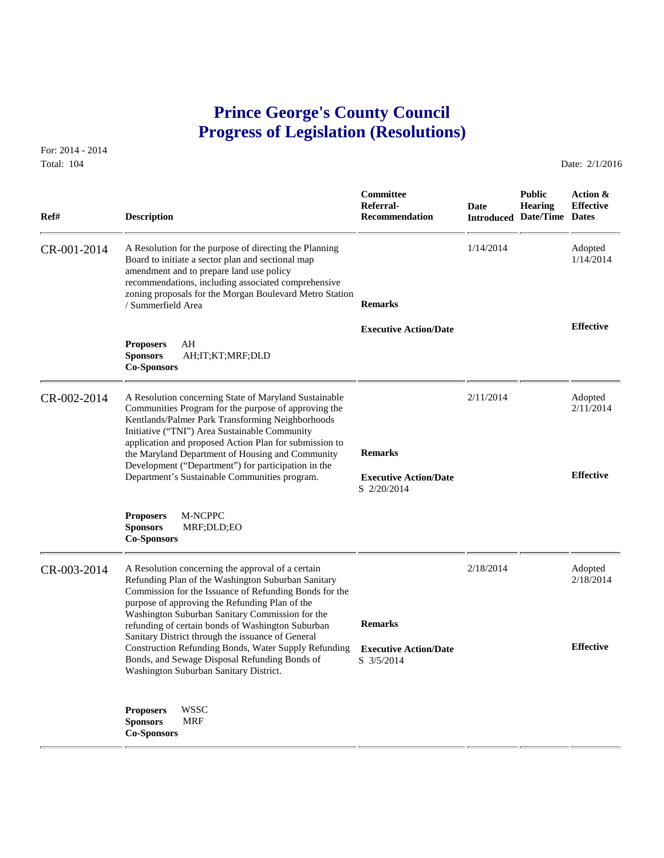## **Prince George's County Council Progress of Legislation (Resolutions)**

For: 2014 - 2014 Total: 104 **Date: 2/1/2016** 

 **Committee Public Action & Referral- Date Hearing Effective Ref# Description Recommendation Introduced Date/Time Dates** CR-001-2014 A Resolution for the purpose of directing the Planning 1/14/2014 Adopted Board to initiate a sector plan and sectional map 1/14/2014  $\frac{1}{14/2014}$ Board to initiate a sector plan and sectional map amendment and to prepare land use policy recommendations, including associated comprehensive zoning proposals for the Morgan Boulevard Metro Station / Summerfield Area **Remarks Effective Executive Action/Date Proposers** AH **Sponsors** AH;IT;KT;MRF;DLD **Co-Sponsors**  CR-002-2014 A Resolution concerning State of Maryland Sustainable 2/11/2014 Adopted 2/11/2014 Adopted Communities Program for the purpose of approving the 2/11/2014 Communities Program for the purpose of approving the Kentlands/Palmer Park Transforming Neighborhoods Initiative ("TNI") Area Sustainable Community application and proposed Action Plan for submission to the Maryland Department of Housing and Community **Remarks** Development ("Department") for participation in the Department's Sustainable Communities program. **Effective Executive Action/Date** S 2/20/2014 **Proposers** M-NCPPC **Sponsors** MRF;DLD;EO **Co-Sponsors**  CR-003-2014 A Resolution concerning the approval of a certain 2/18/2014 Adopted Refunding Plan of the Washington Suburban Sanitary 2/18/2014 2/18/2014 Refunding Plan of the Washington Suburban Sanitary Commission for the Issuance of Refunding Bonds for the purpose of approving the Refunding Plan of the Washington Suburban Sanitary Commission for the refunding of certain bonds of Washington Suburban **Remarks** Sanitary District through the issuance of General Construction Refunding Bonds, Water Supply Refunding **Effective Executive Action/Date** Bonds, and Sewage Disposal Refunding Bonds of S 3/5/2014 Washington Suburban Sanitary District. **Proposers** WSSC **Sponsors** MRF **Co-Sponsors**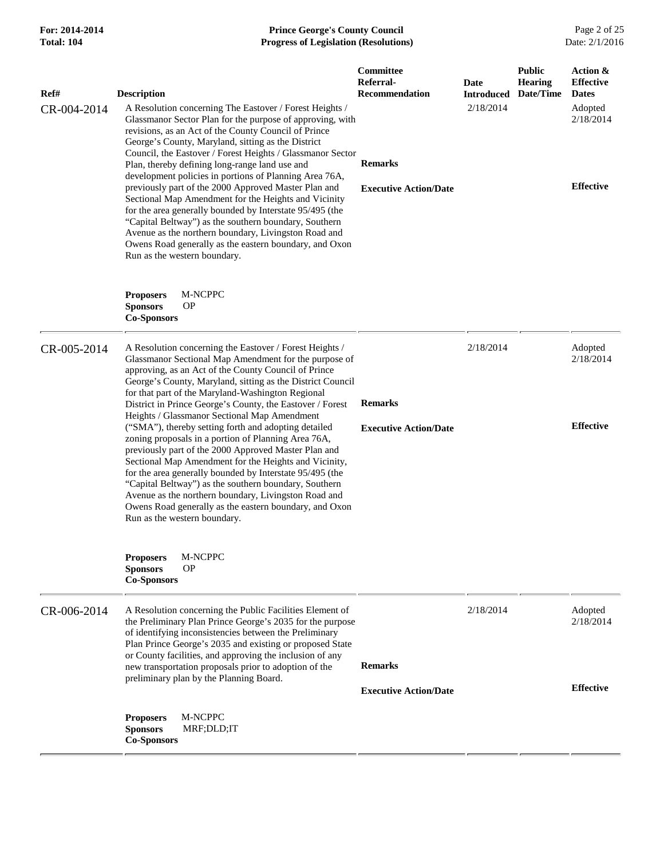## **For: 2014-2014 Prince George's County Council** Page 2 of 25<br> **Formal: 104 Progress of Legislation (Resolutions)** Date: 2/1/2016 **Total: 104 Progress of Legislation (Resolutions)**

| Ref#<br>CR-004-2014 | <b>Description</b>                                        | A Resolution concerning The Eastover / Forest Heights /<br>Glassmanor Sector Plan for the purpose of approving, with<br>revisions, as an Act of the County Council of Prince<br>George's County, Maryland, sitting as the District<br>Council, the Eastover / Forest Heights / Glassmanor Sector<br>Plan, thereby defining long-range land use and<br>development policies in portions of Planning Area 76A,<br>previously part of the 2000 Approved Master Plan and<br>Sectional Map Amendment for the Heights and Vicinity<br>for the area generally bounded by Interstate 95/495 (the<br>"Capital Beltway") as the southern boundary, Southern<br>Avenue as the northern boundary, Livingston Road and<br>Owens Road generally as the eastern boundary, and Oxon<br>Run as the western boundary.                                                                                                             | Committee<br>Referral-<br><b>Recommendation</b><br><b>Remarks</b><br><b>Executive Action/Date</b> | <b>Date</b><br><b>Introduced</b><br>2/18/2014 | <b>Public</b><br><b>Hearing</b><br>Date/Time | Action &<br><b>Effective</b><br><b>Dates</b><br>Adopted<br>2/18/2014<br><b>Effective</b> |
|---------------------|-----------------------------------------------------------|-----------------------------------------------------------------------------------------------------------------------------------------------------------------------------------------------------------------------------------------------------------------------------------------------------------------------------------------------------------------------------------------------------------------------------------------------------------------------------------------------------------------------------------------------------------------------------------------------------------------------------------------------------------------------------------------------------------------------------------------------------------------------------------------------------------------------------------------------------------------------------------------------------------------|---------------------------------------------------------------------------------------------------|-----------------------------------------------|----------------------------------------------|------------------------------------------------------------------------------------------|
|                     | <b>Proposers</b><br><b>Sponsors</b><br><b>Co-Sponsors</b> | M-NCPPC<br><b>OP</b>                                                                                                                                                                                                                                                                                                                                                                                                                                                                                                                                                                                                                                                                                                                                                                                                                                                                                            |                                                                                                   |                                               |                                              |                                                                                          |
| CR-005-2014         |                                                           | A Resolution concerning the Eastover / Forest Heights /<br>Glassmanor Sectional Map Amendment for the purpose of<br>approving, as an Act of the County Council of Prince<br>George's County, Maryland, sitting as the District Council<br>for that part of the Maryland-Washington Regional<br>District in Prince George's County, the Eastover / Forest<br>Heights / Glassmanor Sectional Map Amendment<br>("SMA"), thereby setting forth and adopting detailed<br>zoning proposals in a portion of Planning Area 76A,<br>previously part of the 2000 Approved Master Plan and<br>Sectional Map Amendment for the Heights and Vicinity,<br>for the area generally bounded by Interstate 95/495 (the<br>"Capital Beltway") as the southern boundary, Southern<br>Avenue as the northern boundary, Livingston Road and<br>Owens Road generally as the eastern boundary, and Oxon<br>Run as the western boundary. | <b>Remarks</b><br><b>Executive Action/Date</b>                                                    | 2/18/2014                                     |                                              | Adopted<br>2/18/2014<br><b>Effective</b>                                                 |
|                     | <b>Proposers</b><br><b>Sponsors</b><br><b>Co-Sponsors</b> | M-NCPPC<br><b>OP</b>                                                                                                                                                                                                                                                                                                                                                                                                                                                                                                                                                                                                                                                                                                                                                                                                                                                                                            |                                                                                                   |                                               |                                              |                                                                                          |
| CR-006-2014         |                                                           | A Resolution concerning the Public Facilities Element of<br>the Preliminary Plan Prince George's 2035 for the purpose<br>of identifying inconsistencies between the Preliminary<br>Plan Prince George's 2035 and existing or proposed State<br>or County facilities, and approving the inclusion of any<br>new transportation proposals prior to adoption of the<br>preliminary plan by the Planning Board.                                                                                                                                                                                                                                                                                                                                                                                                                                                                                                     | <b>Remarks</b>                                                                                    | 2/18/2014                                     |                                              | Adopted<br>2/18/2014                                                                     |
|                     | <b>Proposers</b><br><b>Sponsors</b><br><b>Co-Sponsors</b> | M-NCPPC<br>MRF;DLD;IT                                                                                                                                                                                                                                                                                                                                                                                                                                                                                                                                                                                                                                                                                                                                                                                                                                                                                           | <b>Executive Action/Date</b>                                                                      |                                               |                                              | <b>Effective</b>                                                                         |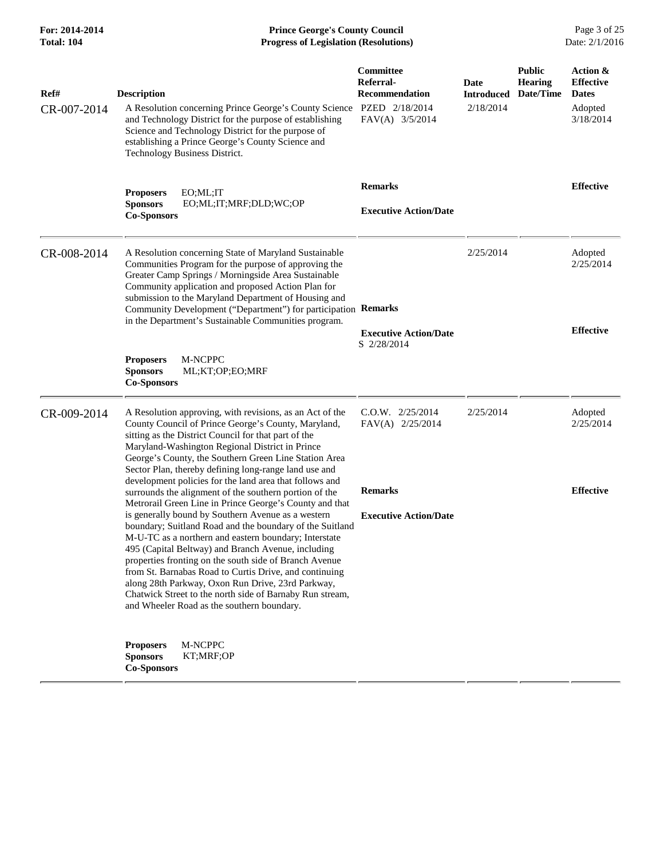| For: 2014-2014<br><b>Total: 104</b> | <b>Prince George's County Council</b><br>Date: 2/1/2016<br><b>Progress of Legislation (Resolutions)</b>                                                                                                                                                                                                                                                                                                                                                                                                                                                                                                                                                                                          |                                                                    |                                        |                                              |                                                                      |
|-------------------------------------|--------------------------------------------------------------------------------------------------------------------------------------------------------------------------------------------------------------------------------------------------------------------------------------------------------------------------------------------------------------------------------------------------------------------------------------------------------------------------------------------------------------------------------------------------------------------------------------------------------------------------------------------------------------------------------------------------|--------------------------------------------------------------------|----------------------------------------|----------------------------------------------|----------------------------------------------------------------------|
| Ref#<br>CR-007-2014                 | <b>Description</b><br>A Resolution concerning Prince George's County Science PZED 2/18/2014<br>and Technology District for the purpose of establishing<br>Science and Technology District for the purpose of<br>establishing a Prince George's County Science and<br>Technology Business District.                                                                                                                                                                                                                                                                                                                                                                                               | Committee<br>Referral-<br><b>Recommendation</b><br>FAV(A) 3/5/2014 | Date<br><b>Introduced</b><br>2/18/2014 | <b>Public</b><br><b>Hearing</b><br>Date/Time | Action &<br><b>Effective</b><br><b>Dates</b><br>Adopted<br>3/18/2014 |
|                                     | <b>Proposers</b><br>EO; ML; IT<br>EO;ML;IT;MRF;DLD;WC;OP<br><b>Sponsors</b><br><b>Co-Sponsors</b>                                                                                                                                                                                                                                                                                                                                                                                                                                                                                                                                                                                                | <b>Remarks</b><br><b>Executive Action/Date</b>                     |                                        |                                              | <b>Effective</b>                                                     |
| CR-008-2014                         | A Resolution concerning State of Maryland Sustainable<br>Communities Program for the purpose of approving the<br>Greater Camp Springs / Morningside Area Sustainable<br>Community application and proposed Action Plan for<br>submission to the Maryland Department of Housing and<br>Community Development ("Department") for participation Remarks<br>in the Department's Sustainable Communities program.                                                                                                                                                                                                                                                                                     | <b>Executive Action/Date</b><br>S 2/28/2014                        | 2/25/2014                              |                                              | Adopted<br>2/25/2014<br><b>Effective</b>                             |
|                                     | M-NCPPC<br><b>Proposers</b><br><b>Sponsors</b><br>ML;KT;OP;EO;MRF<br><b>Co-Sponsors</b>                                                                                                                                                                                                                                                                                                                                                                                                                                                                                                                                                                                                          |                                                                    |                                        |                                              |                                                                      |
| CR-009-2014                         | A Resolution approving, with revisions, as an Act of the<br>County Council of Prince George's County, Maryland,<br>sitting as the District Council for that part of the<br>Maryland-Washington Regional District in Prince<br>George's County, the Southern Green Line Station Area<br>Sector Plan, thereby defining long-range land use and                                                                                                                                                                                                                                                                                                                                                     | $C.0.W.$ $2/25/2014$<br>FAV(A) 2/25/2014                           | 2/25/2014                              |                                              | Adopted<br>2/25/2014                                                 |
|                                     | development policies for the land area that follows and<br>surrounds the alignment of the southern portion of the<br>Metrorail Green Line in Prince George's County and that<br>is generally bound by Southern Avenue as a western<br>boundary; Suitland Road and the boundary of the Suitland<br>M-U-TC as a northern and eastern boundary; Interstate<br>495 (Capital Beltway) and Branch Avenue, including<br>properties fronting on the south side of Branch Avenue<br>from St. Barnabas Road to Curtis Drive, and continuing<br>along 28th Parkway, Oxon Run Drive, 23rd Parkway,<br>Chatwick Street to the north side of Barnaby Run stream,<br>and Wheeler Road as the southern boundary. | <b>Remarks</b><br><b>Executive Action/Date</b>                     |                                        |                                              | <b>Effective</b>                                                     |
|                                     | M-NCPPC<br><b>Proposers</b><br>KT;MRF;OP<br><b>Sponsors</b><br><b>Co-Sponsors</b>                                                                                                                                                                                                                                                                                                                                                                                                                                                                                                                                                                                                                |                                                                    |                                        |                                              |                                                                      |

 $=$  $=$ 

 $=$  $=$ 

 $=$  $=$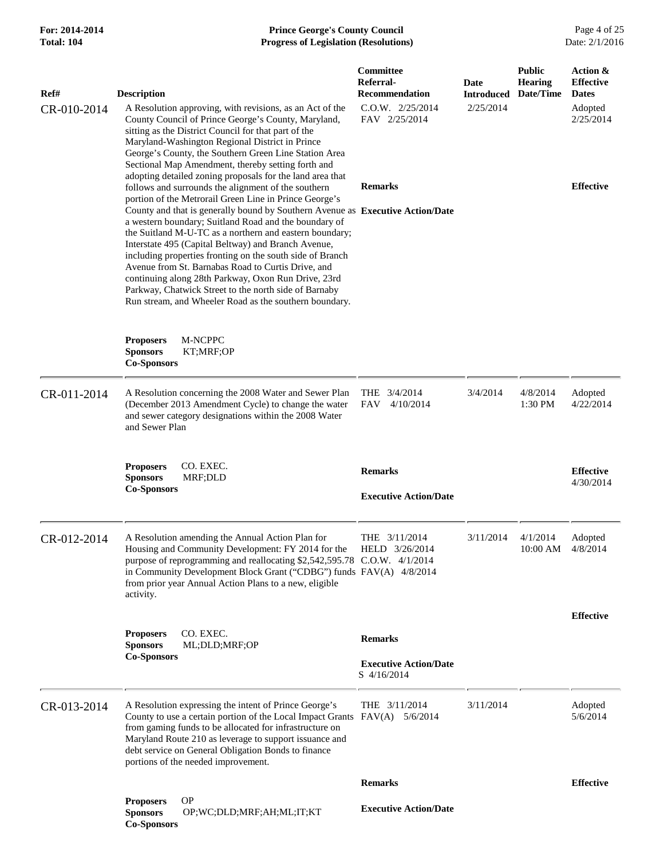| Ref#        | <b>Description</b>                                                                                                                                                                                                                                                                                                                                                                                                                                                                                                                                                                                               | Committee<br>Referral-<br><b>Recommendation</b> | Date<br><b>Introduced</b> | <b>Public</b><br><b>Hearing</b><br>Date/Time | Action &<br><b>Effective</b><br><b>Dates</b> |
|-------------|------------------------------------------------------------------------------------------------------------------------------------------------------------------------------------------------------------------------------------------------------------------------------------------------------------------------------------------------------------------------------------------------------------------------------------------------------------------------------------------------------------------------------------------------------------------------------------------------------------------|-------------------------------------------------|---------------------------|----------------------------------------------|----------------------------------------------|
| CR-010-2014 | A Resolution approving, with revisions, as an Act of the<br>County Council of Prince George's County, Maryland,<br>sitting as the District Council for that part of the<br>Maryland-Washington Regional District in Prince<br>George's County, the Southern Green Line Station Area<br>Sectional Map Amendment, thereby setting forth and                                                                                                                                                                                                                                                                        | $C.0.W.$ $2/25/2014$<br>FAV 2/25/2014           | 2/25/2014                 |                                              | Adopted<br>2/25/2014                         |
|             | adopting detailed zoning proposals for the land area that<br>follows and surrounds the alignment of the southern                                                                                                                                                                                                                                                                                                                                                                                                                                                                                                 | <b>Remarks</b>                                  |                           |                                              | <b>Effective</b>                             |
|             | portion of the Metrorail Green Line in Prince George's<br>County and that is generally bound by Southern Avenue as Executive Action/Date<br>a western boundary; Suitland Road and the boundary of<br>the Suitland M-U-TC as a northern and eastern boundary;<br>Interstate 495 (Capital Beltway) and Branch Avenue,<br>including properties fronting on the south side of Branch<br>Avenue from St. Barnabas Road to Curtis Drive, and<br>continuing along 28th Parkway, Oxon Run Drive, 23rd<br>Parkway, Chatwick Street to the north side of Barnaby<br>Run stream, and Wheeler Road as the southern boundary. |                                                 |                           |                                              |                                              |
|             | M-NCPPC<br><b>Proposers</b><br><b>Sponsors</b><br>KT;MRF;OP<br><b>Co-Sponsors</b>                                                                                                                                                                                                                                                                                                                                                                                                                                                                                                                                |                                                 |                           |                                              |                                              |
| CR-011-2014 | A Resolution concerning the 2008 Water and Sewer Plan<br>(December 2013 Amendment Cycle) to change the water<br>and sewer category designations within the 2008 Water<br>and Sewer Plan                                                                                                                                                                                                                                                                                                                                                                                                                          | THE 3/4/2014<br><b>FAV</b><br>4/10/2014         | 3/4/2014                  | 4/8/2014<br>1:30 PM                          | Adopted<br>4/22/2014                         |
|             | <b>Proposers</b><br>CO. EXEC.<br><b>Sponsors</b><br>MRF;DLD<br><b>Co-Sponsors</b>                                                                                                                                                                                                                                                                                                                                                                                                                                                                                                                                | <b>Remarks</b><br><b>Executive Action/Date</b>  |                           |                                              | <b>Effective</b><br>4/30/2014                |
| CR-012-2014 | A Resolution amending the Annual Action Plan for<br>Housing and Community Development: FY 2014 for the HELD 3/26/2014<br>purpose of reprogramming and reallocating \$2,542,595.78 C.O.W. 4/1/2014<br>in Community Development Block Grant ("CDBG") funds FAV(A) 4/8/2014<br>from prior year Annual Action Plans to a new, eligible<br>activity.                                                                                                                                                                                                                                                                  | THE $3/11/2014$                                 | 3/11/2014                 | 4/1/2014<br>10:00 AM                         | Adopted<br>4/8/2014                          |
|             | CO. EXEC.<br><b>Proposers</b><br><b>Sponsors</b><br>ML;DLD;MRF;OP                                                                                                                                                                                                                                                                                                                                                                                                                                                                                                                                                | <b>Remarks</b>                                  |                           |                                              | <b>Effective</b>                             |
|             | <b>Co-Sponsors</b>                                                                                                                                                                                                                                                                                                                                                                                                                                                                                                                                                                                               | <b>Executive Action/Date</b><br>S 4/16/2014     |                           |                                              |                                              |
| CR-013-2014 | A Resolution expressing the intent of Prince George's<br>County to use a certain portion of the Local Impact Grants FAV(A) 5/6/2014<br>from gaming funds to be allocated for infrastructure on<br>Maryland Route 210 as leverage to support issuance and<br>debt service on General Obligation Bonds to finance<br>portions of the needed improvement.                                                                                                                                                                                                                                                           | THE 3/11/2014                                   | 3/11/2014                 |                                              | Adopted<br>5/6/2014                          |
|             |                                                                                                                                                                                                                                                                                                                                                                                                                                                                                                                                                                                                                  | <b>Remarks</b>                                  |                           |                                              | <b>Effective</b>                             |
|             | <b>OP</b><br><b>Proposers</b><br><b>Sponsors</b><br>OP;WC;DLD;MRF;AH;ML;IT;KT<br><b>Co-Sponsors</b>                                                                                                                                                                                                                                                                                                                                                                                                                                                                                                              | <b>Executive Action/Date</b>                    |                           |                                              |                                              |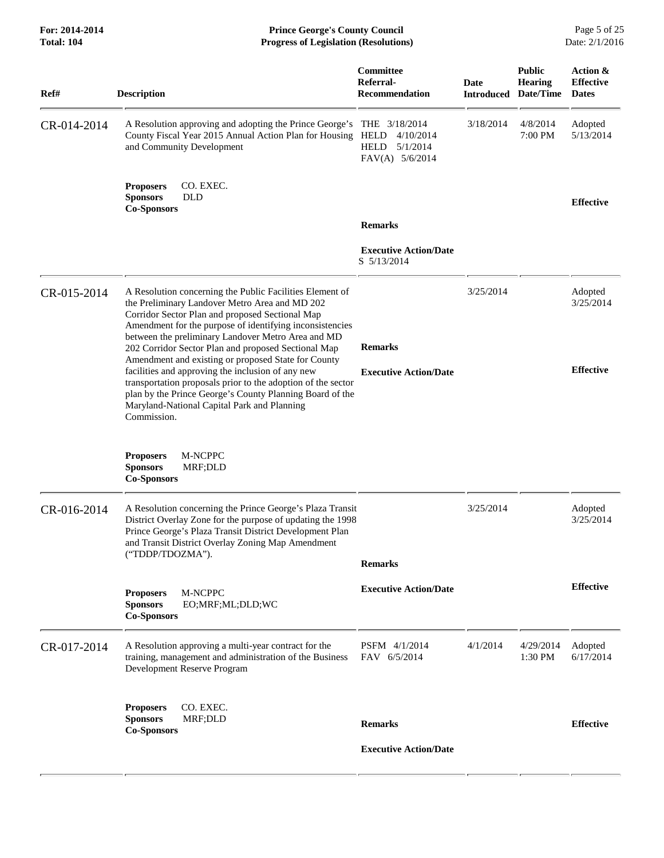**For: 2014-2014 Prince George's County Council** Page 5 of 25<br> **Prince George's County Council** Page 5 of 25<br> **Progress of Legislation (Resolutions)** Date: 2/1/2016 **Total: 104 Progress of Legislation (Resolutions)** 

| Ref#        | <b>Description</b>                                                                                                                                                                                                                                                                                                                                                                            | Committee<br>Referral-<br><b>Recommendation</b>                                  | <b>Date</b><br><b>Introduced</b> | <b>Public</b><br><b>Hearing</b><br>Date/Time | Action &<br><b>Effective</b><br><b>Dates</b> |
|-------------|-----------------------------------------------------------------------------------------------------------------------------------------------------------------------------------------------------------------------------------------------------------------------------------------------------------------------------------------------------------------------------------------------|----------------------------------------------------------------------------------|----------------------------------|----------------------------------------------|----------------------------------------------|
| CR-014-2014 | A Resolution approving and adopting the Prince George's<br>County Fiscal Year 2015 Annual Action Plan for Housing<br>and Community Development                                                                                                                                                                                                                                                | THE 3/18/2014<br>HELD<br>4/10/2014<br><b>HELD</b><br>5/1/2014<br>FAV(A) 5/6/2014 | 3/18/2014                        | 4/8/2014<br>7:00 PM                          | Adopted<br>5/13/2014                         |
|             | <b>Proposers</b><br>CO. EXEC.<br><b>Sponsors</b><br><b>DLD</b><br><b>Co-Sponsors</b>                                                                                                                                                                                                                                                                                                          |                                                                                  |                                  |                                              | <b>Effective</b>                             |
|             |                                                                                                                                                                                                                                                                                                                                                                                               | <b>Remarks</b>                                                                   |                                  |                                              |                                              |
|             |                                                                                                                                                                                                                                                                                                                                                                                               | <b>Executive Action/Date</b><br>S 5/13/2014                                      |                                  |                                              |                                              |
| CR-015-2014 | A Resolution concerning the Public Facilities Element of<br>the Preliminary Landover Metro Area and MD 202<br>Corridor Sector Plan and proposed Sectional Map<br>Amendment for the purpose of identifying inconsistencies<br>between the preliminary Landover Metro Area and MD<br>202 Corridor Sector Plan and proposed Sectional Map<br>Amendment and existing or proposed State for County | <b>Remarks</b>                                                                   | 3/25/2014                        |                                              | Adopted<br>3/25/2014                         |
|             | facilities and approving the inclusion of any new<br>transportation proposals prior to the adoption of the sector<br>plan by the Prince George's County Planning Board of the<br>Maryland-National Capital Park and Planning<br>Commission.                                                                                                                                                   | <b>Executive Action/Date</b>                                                     |                                  |                                              | <b>Effective</b>                             |
|             | M-NCPPC<br><b>Proposers</b><br><b>Sponsors</b><br>MRF;DLD<br><b>Co-Sponsors</b>                                                                                                                                                                                                                                                                                                               |                                                                                  |                                  |                                              |                                              |
| CR-016-2014 | A Resolution concerning the Prince George's Plaza Transit<br>District Overlay Zone for the purpose of updating the 1998<br>Prince George's Plaza Transit District Development Plan<br>and Transit District Overlay Zoning Map Amendment                                                                                                                                                       |                                                                                  | 3/25/2014                        |                                              | Adopted<br>3/25/2014                         |
|             | ("TDDP/TDOZMA").                                                                                                                                                                                                                                                                                                                                                                              | <b>Remarks</b>                                                                   |                                  |                                              |                                              |
|             | M-NCPPC<br><b>Proposers</b><br><b>Sponsors</b><br>EO;MRF;ML;DLD;WC<br><b>Co-Sponsors</b>                                                                                                                                                                                                                                                                                                      | <b>Executive Action/Date</b>                                                     |                                  |                                              | <b>Effective</b>                             |
| CR-017-2014 | A Resolution approving a multi-year contract for the<br>training, management and administration of the Business<br>Development Reserve Program                                                                                                                                                                                                                                                | PSFM 4/1/2014<br>FAV 6/5/2014                                                    | 4/1/2014                         | 4/29/2014<br>1:30 PM                         | Adopted<br>6/17/2014                         |
|             | CO. EXEC.<br><b>Proposers</b><br><b>Sponsors</b><br>MRF;DLD<br><b>Co-Sponsors</b>                                                                                                                                                                                                                                                                                                             | <b>Remarks</b>                                                                   |                                  |                                              | <b>Effective</b>                             |
|             |                                                                                                                                                                                                                                                                                                                                                                                               | <b>Executive Action/Date</b>                                                     |                                  |                                              |                                              |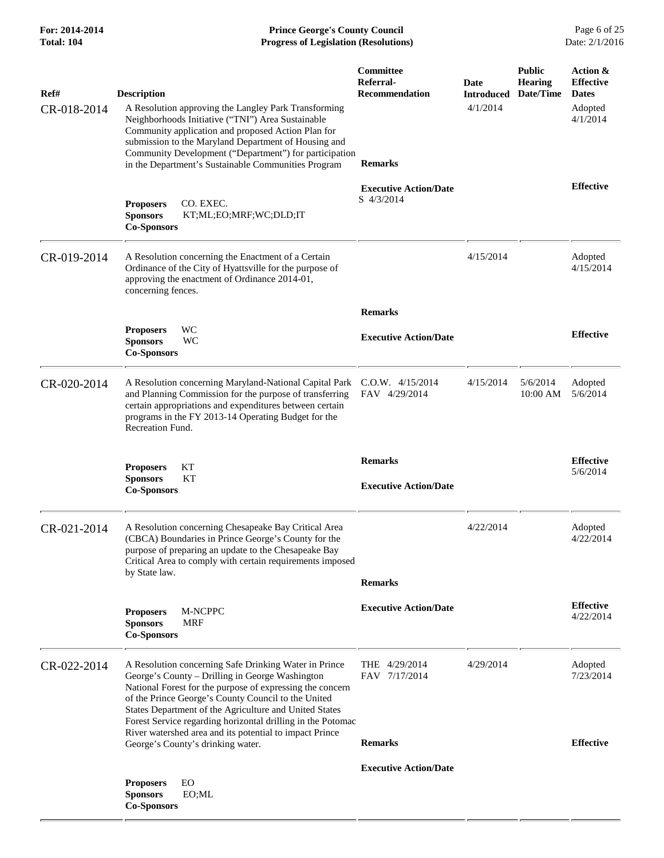| Ref#        | <b>Description</b>                                                                                                                                                                                                                                                                                                                                                                                               | Committee<br>Referral-<br><b>Recommendation</b> | Date<br><b>Introduced</b> | <b>Public</b><br><b>Hearing</b><br>Date/Time | Action &<br><b>Effective</b><br><b>Dates</b> |
|-------------|------------------------------------------------------------------------------------------------------------------------------------------------------------------------------------------------------------------------------------------------------------------------------------------------------------------------------------------------------------------------------------------------------------------|-------------------------------------------------|---------------------------|----------------------------------------------|----------------------------------------------|
| CR-018-2014 | A Resolution approving the Langley Park Transforming<br>Neighborhoods Initiative ("TNI") Area Sustainable<br>Community application and proposed Action Plan for<br>submission to the Maryland Department of Housing and<br>Community Development ("Department") for participation<br>in the Department's Sustainable Communities Program                                                                         | <b>Remarks</b>                                  | 4/1/2014                  |                                              | Adopted<br>4/1/2014                          |
|             | CO. EXEC.<br><b>Proposers</b><br><b>Sponsors</b><br>KT;ML;EO;MRF;WC;DLD;IT<br><b>Co-Sponsors</b>                                                                                                                                                                                                                                                                                                                 | <b>Executive Action/Date</b><br>S 4/3/2014      |                           |                                              | <b>Effective</b>                             |
| CR-019-2014 | A Resolution concerning the Enactment of a Certain<br>Ordinance of the City of Hyattsville for the purpose of<br>approving the enactment of Ordinance 2014-01,<br>concerning fences.                                                                                                                                                                                                                             |                                                 | 4/15/2014                 |                                              | Adopted<br>4/15/2014                         |
|             |                                                                                                                                                                                                                                                                                                                                                                                                                  | <b>Remarks</b>                                  |                           |                                              |                                              |
|             | WC<br><b>Proposers</b><br><b>WC</b><br><b>Sponsors</b><br><b>Co-Sponsors</b>                                                                                                                                                                                                                                                                                                                                     | <b>Executive Action/Date</b>                    |                           |                                              | <b>Effective</b>                             |
| CR-020-2014 | A Resolution concerning Maryland-National Capital Park C.O.W. 4/15/2014<br>and Planning Commission for the purpose of transferring<br>certain appropriations and expenditures between certain<br>programs in the FY 2013-14 Operating Budget for the<br>Recreation Fund.                                                                                                                                         | FAV 4/29/2014                                   | 4/15/2014                 | 5/6/2014<br>$10:00$ AM                       | Adopted<br>5/6/2014                          |
|             | KT<br><b>Proposers</b><br><b>Sponsors</b><br>KT<br><b>Co-Sponsors</b>                                                                                                                                                                                                                                                                                                                                            | <b>Remarks</b><br><b>Executive Action/Date</b>  |                           |                                              | <b>Effective</b><br>5/6/2014                 |
| CR-021-2014 | A Resolution concerning Chesapeake Bay Critical Area<br>(CBCA) Boundaries in Prince George's County for the<br>purpose of preparing an update to the Chesapeake Bay<br>Critical Area to comply with certain requirements imposed<br>by State law.                                                                                                                                                                | <b>Remarks</b>                                  | 4/22/2014                 |                                              | Adopted<br>4/22/2014                         |
|             | <b>Proposers</b><br>M-NCPPC<br><b>MRF</b><br><b>Sponsors</b><br><b>Co-Sponsors</b>                                                                                                                                                                                                                                                                                                                               | <b>Executive Action/Date</b>                    |                           |                                              | <b>Effective</b><br>4/22/2014                |
| CR-022-2014 | A Resolution concerning Safe Drinking Water in Prince<br>George's County - Drilling in George Washington<br>National Forest for the purpose of expressing the concern<br>of the Prince George's County Council to the United<br>States Department of the Agriculture and United States<br>Forest Service regarding horizontal drilling in the Potomac<br>River watershed area and its potential to impact Prince | THE 4/29/2014<br>FAV 7/17/2014                  | 4/29/2014                 |                                              | Adopted<br>7/23/2014                         |
|             | George's County's drinking water.                                                                                                                                                                                                                                                                                                                                                                                | <b>Remarks</b>                                  |                           |                                              | <b>Effective</b>                             |
|             |                                                                                                                                                                                                                                                                                                                                                                                                                  | <b>Executive Action/Date</b>                    |                           |                                              |                                              |
|             | EO<br><b>Proposers</b><br><b>Sponsors</b><br>EO;ML<br><b>Co-Sponsors</b>                                                                                                                                                                                                                                                                                                                                         |                                                 |                           |                                              |                                              |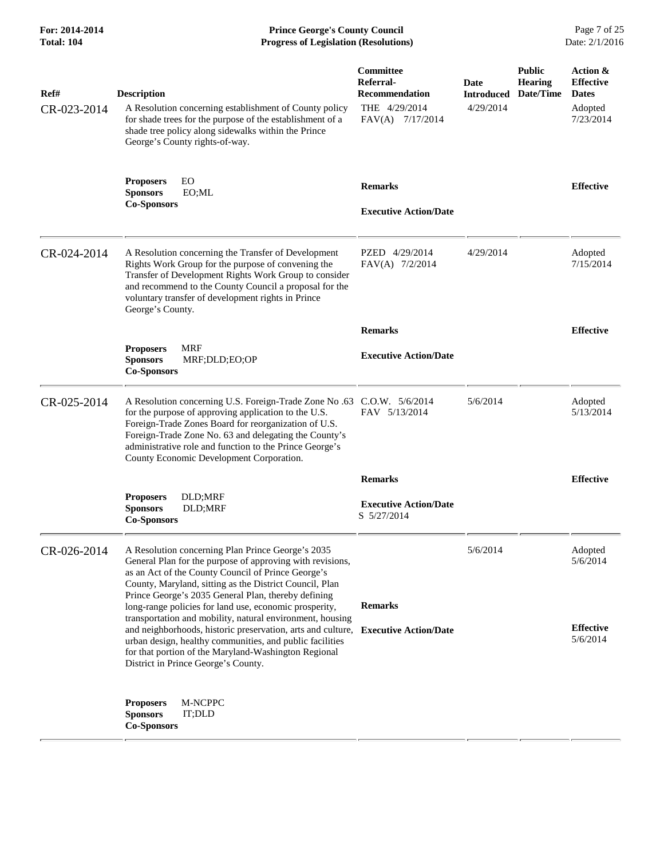| For: 2014-2014<br><b>Total: 104</b> | <b>Prince George's County Council</b><br>Date: 2/1/2016<br><b>Progress of Legislation (Resolutions)</b>                                                                                                                                                                                                                                                                                                       |                                                                                      |                                        |                                              |                                                                      |
|-------------------------------------|---------------------------------------------------------------------------------------------------------------------------------------------------------------------------------------------------------------------------------------------------------------------------------------------------------------------------------------------------------------------------------------------------------------|--------------------------------------------------------------------------------------|----------------------------------------|----------------------------------------------|----------------------------------------------------------------------|
| Ref#<br>CR-023-2014                 | <b>Description</b><br>A Resolution concerning establishment of County policy<br>for shade trees for the purpose of the establishment of a<br>shade tree policy along sidewalks within the Prince<br>George's County rights-of-way.                                                                                                                                                                            | Committee<br>Referral-<br><b>Recommendation</b><br>THE 4/29/2014<br>FAV(A) 7/17/2014 | Date<br><b>Introduced</b><br>4/29/2014 | <b>Public</b><br><b>Hearing</b><br>Date/Time | Action &<br><b>Effective</b><br><b>Dates</b><br>Adopted<br>7/23/2014 |
|                                     | EO<br><b>Proposers</b><br><b>Sponsors</b><br>EO;ML<br><b>Co-Sponsors</b>                                                                                                                                                                                                                                                                                                                                      | <b>Remarks</b><br><b>Executive Action/Date</b>                                       |                                        |                                              | <b>Effective</b>                                                     |
| CR-024-2014                         | A Resolution concerning the Transfer of Development<br>Rights Work Group for the purpose of convening the<br>Transfer of Development Rights Work Group to consider<br>and recommend to the County Council a proposal for the<br>voluntary transfer of development rights in Prince<br>George's County.                                                                                                        | PZED 4/29/2014<br>FAV(A) 7/2/2014                                                    | 4/29/2014                              |                                              | Adopted<br>7/15/2014                                                 |
|                                     |                                                                                                                                                                                                                                                                                                                                                                                                               | <b>Remarks</b>                                                                       |                                        |                                              | <b>Effective</b>                                                     |
|                                     | <b>MRF</b><br><b>Proposers</b><br><b>Sponsors</b><br>MRF;DLD;EO;OP<br><b>Co-Sponsors</b>                                                                                                                                                                                                                                                                                                                      | <b>Executive Action/Date</b>                                                         |                                        |                                              |                                                                      |
| CR-025-2014                         | A Resolution concerning U.S. Foreign-Trade Zone No .63 C.O.W. 5/6/2014<br>for the purpose of approving application to the U.S.<br>Foreign-Trade Zones Board for reorganization of U.S.<br>Foreign-Trade Zone No. 63 and delegating the County's<br>administrative role and function to the Prince George's<br>County Economic Development Corporation.                                                        | FAV 5/13/2014                                                                        | 5/6/2014                               |                                              | Adopted<br>5/13/2014                                                 |
|                                     |                                                                                                                                                                                                                                                                                                                                                                                                               | <b>Remarks</b>                                                                       |                                        |                                              | <b>Effective</b>                                                     |
|                                     | DLD;MRF<br><b>Proposers</b><br>DLD;MRF<br><b>Sponsors</b><br><b>Co-Sponsors</b>                                                                                                                                                                                                                                                                                                                               | <b>Executive Action/Date</b><br>S 5/27/2014                                          |                                        |                                              |                                                                      |
| CR-026-2014                         | A Resolution concerning Plan Prince George's 2035<br>General Plan for the purpose of approving with revisions,<br>as an Act of the County Council of Prince George's<br>County, Maryland, sitting as the District Council, Plan<br>Prince George's 2035 General Plan, thereby defining<br>long-range policies for land use, economic prosperity,<br>transportation and mobility, natural environment, housing | <b>Remarks</b>                                                                       | 5/6/2014                               |                                              | Adopted<br>5/6/2014                                                  |
|                                     | and neighborhoods, historic preservation, arts and culture, Executive Action/Date<br>urban design, healthy communities, and public facilities<br>for that portion of the Maryland-Washington Regional<br>District in Prince George's County.                                                                                                                                                                  |                                                                                      |                                        |                                              | <b>Effective</b><br>5/6/2014                                         |
|                                     | M-NCPPC<br><b>Proposers</b><br><b>Sponsors</b><br>IT;DLD<br><b>Co-Sponsors</b>                                                                                                                                                                                                                                                                                                                                |                                                                                      |                                        |                                              |                                                                      |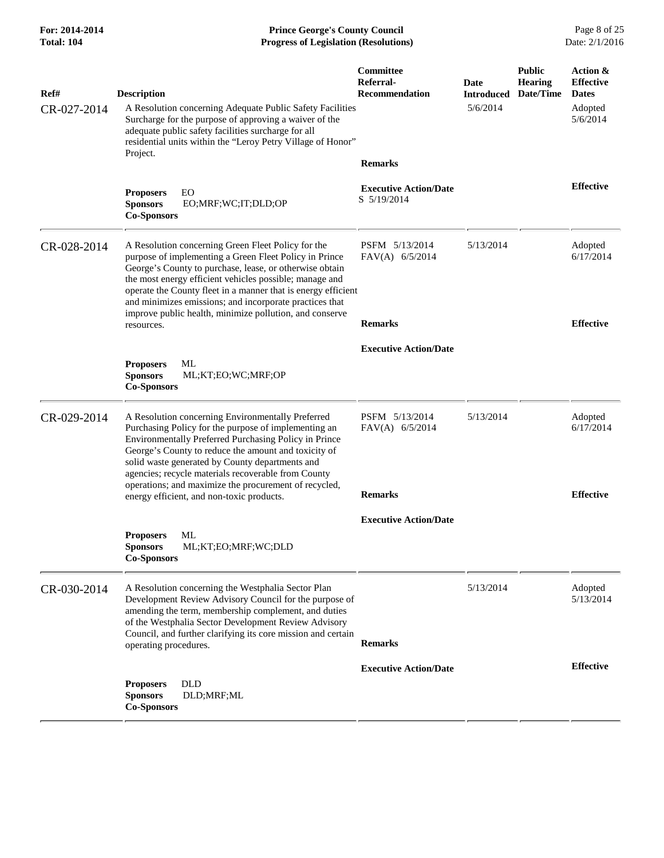**For: 2014-2014 Prince George's County Council** Page 8 of 25<br> **Prince George's County Council** Page 8 of 25<br> **Progress of Legislation (Resolutions)** Date: 2/1/2016 **Total: 104 Progress of Legislation (Resolutions)** 

| Ref#<br>CR-027-2014 | <b>Description</b><br>A Resolution concerning Adequate Public Safety Facilities<br>Surcharge for the purpose of approving a waiver of the<br>adequate public safety facilities surcharge for all<br>residential units within the "Leroy Petry Village of Honor"<br>Project.                                                                                                                                                             | Committee<br>Referral-<br><b>Recommendation</b>               | Date<br><b>Introduced</b><br>5/6/2014 | <b>Public</b><br><b>Hearing</b><br>Date/Time | Action &<br><b>Effective</b><br><b>Dates</b><br>Adopted<br>5/6/2014 |
|---------------------|-----------------------------------------------------------------------------------------------------------------------------------------------------------------------------------------------------------------------------------------------------------------------------------------------------------------------------------------------------------------------------------------------------------------------------------------|---------------------------------------------------------------|---------------------------------------|----------------------------------------------|---------------------------------------------------------------------|
|                     | <b>Proposers</b><br>EO<br><b>Sponsors</b><br>EO;MRF;WC;IT;DLD;OP<br><b>Co-Sponsors</b>                                                                                                                                                                                                                                                                                                                                                  | <b>Remarks</b><br><b>Executive Action/Date</b><br>S 5/19/2014 |                                       |                                              | <b>Effective</b>                                                    |
| CR-028-2014         | A Resolution concerning Green Fleet Policy for the<br>purpose of implementing a Green Fleet Policy in Prince<br>George's County to purchase, lease, or otherwise obtain<br>the most energy efficient vehicles possible; manage and<br>operate the County fleet in a manner that is energy efficient<br>and minimizes emissions; and incorporate practices that<br>improve public health, minimize pollution, and conserve<br>resources. | PSFM 5/13/2014<br>$FAV(A)$ 6/5/2014<br><b>Remarks</b>         | 5/13/2014                             |                                              | Adopted<br>6/17/2014<br><b>Effective</b>                            |
|                     |                                                                                                                                                                                                                                                                                                                                                                                                                                         | <b>Executive Action/Date</b>                                  |                                       |                                              |                                                                     |
|                     | ML<br><b>Proposers</b><br><b>Sponsors</b><br>ML;KT;EO;WC;MRF;OP<br><b>Co-Sponsors</b>                                                                                                                                                                                                                                                                                                                                                   |                                                               |                                       |                                              |                                                                     |
| CR-029-2014         | A Resolution concerning Environmentally Preferred<br>Purchasing Policy for the purpose of implementing an<br>Environmentally Preferred Purchasing Policy in Prince<br>George's County to reduce the amount and toxicity of<br>solid waste generated by County departments and<br>agencies; recycle materials recoverable from County<br>operations; and maximize the procurement of recycled,                                           | PSFM 5/13/2014<br>FAV(A) 6/5/2014                             | 5/13/2014                             |                                              | Adopted<br>6/17/2014                                                |
|                     | energy efficient, and non-toxic products.                                                                                                                                                                                                                                                                                                                                                                                               | <b>Remarks</b>                                                |                                       |                                              | <b>Effective</b>                                                    |
|                     | ML<br><b>Proposers</b><br>ML;KT;EO;MRF;WC;DLD<br><b>Sponsors</b><br><b>Co-Sponsors</b>                                                                                                                                                                                                                                                                                                                                                  | <b>Executive Action/Date</b>                                  |                                       |                                              |                                                                     |
| CR-030-2014         | A Resolution concerning the Westphalia Sector Plan<br>Development Review Advisory Council for the purpose of<br>amending the term, membership complement, and duties<br>of the Westphalia Sector Development Review Advisory<br>Council, and further clarifying its core mission and certain<br>operating procedures.                                                                                                                   | <b>Remarks</b>                                                | 5/13/2014                             |                                              | Adopted<br>5/13/2014                                                |
|                     | <b>DLD</b><br><b>Proposers</b><br><b>Sponsors</b><br>DLD;MRF;ML<br><b>Co-Sponsors</b>                                                                                                                                                                                                                                                                                                                                                   | <b>Executive Action/Date</b>                                  |                                       |                                              | <b>Effective</b>                                                    |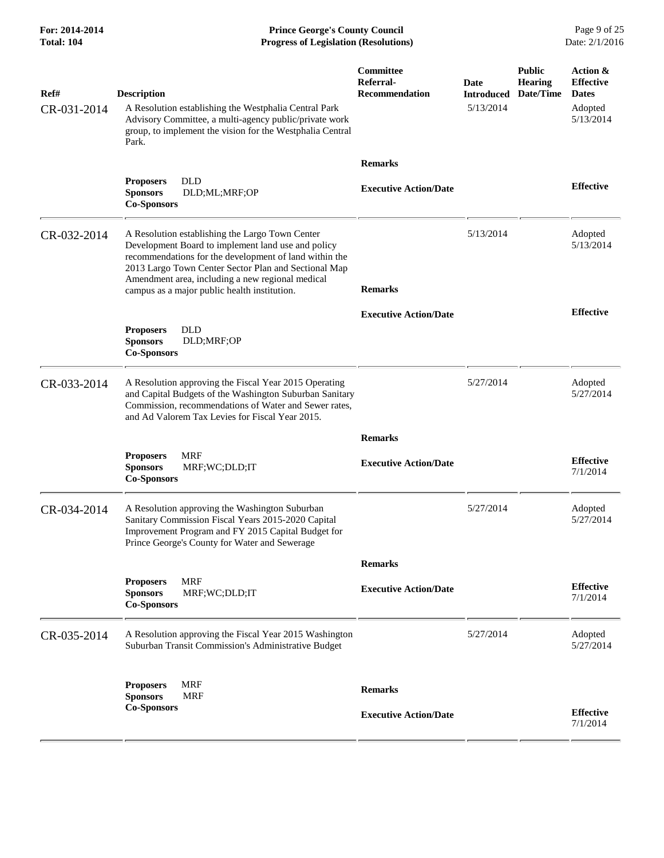**For: 2014-2014 Prince George's County Council** Page 9 of 25<br> **Formal: 104 Progress of Legislation (Resolutions)** Date: 2/1/2016 **Total: 104 Progress of Legislation (Resolutions)** 

| Ref#<br>CR-031-2014 | <b>Description</b><br>A Resolution establishing the Westphalia Central Park<br>Advisory Committee, a multi-agency public/private work<br>group, to implement the vision for the Westphalia Central<br>Park.                                                                                                                 | Committee<br>Referral-<br><b>Recommendation</b> | Date<br><b>Introduced</b><br>5/13/2014 | <b>Public</b><br><b>Hearing</b><br>Date/Time | Action &<br><b>Effective</b><br><b>Dates</b><br>Adopted<br>5/13/2014 |
|---------------------|-----------------------------------------------------------------------------------------------------------------------------------------------------------------------------------------------------------------------------------------------------------------------------------------------------------------------------|-------------------------------------------------|----------------------------------------|----------------------------------------------|----------------------------------------------------------------------|
|                     |                                                                                                                                                                                                                                                                                                                             | <b>Remarks</b>                                  |                                        |                                              |                                                                      |
|                     | <b>DLD</b><br><b>Proposers</b><br><b>Sponsors</b><br>DLD;ML;MRF;OP<br><b>Co-Sponsors</b>                                                                                                                                                                                                                                    | <b>Executive Action/Date</b>                    |                                        |                                              | <b>Effective</b>                                                     |
| CR-032-2014         | A Resolution establishing the Largo Town Center<br>Development Board to implement land use and policy<br>recommendations for the development of land within the<br>2013 Largo Town Center Sector Plan and Sectional Map<br>Amendment area, including a new regional medical<br>campus as a major public health institution. | <b>Remarks</b>                                  | 5/13/2014                              |                                              | Adopted<br>5/13/2014                                                 |
|                     |                                                                                                                                                                                                                                                                                                                             | <b>Executive Action/Date</b>                    |                                        |                                              | <b>Effective</b>                                                     |
|                     | <b>DLD</b><br><b>Proposers</b><br><b>Sponsors</b><br>DLD;MRF;OP<br><b>Co-Sponsors</b>                                                                                                                                                                                                                                       |                                                 |                                        |                                              |                                                                      |
| CR-033-2014         | A Resolution approving the Fiscal Year 2015 Operating<br>and Capital Budgets of the Washington Suburban Sanitary<br>Commission, recommendations of Water and Sewer rates,<br>and Ad Valorem Tax Levies for Fiscal Year 2015.                                                                                                |                                                 | 5/27/2014                              |                                              | Adopted<br>5/27/2014                                                 |
|                     |                                                                                                                                                                                                                                                                                                                             | <b>Remarks</b>                                  |                                        |                                              |                                                                      |
|                     | <b>MRF</b><br><b>Proposers</b><br>MRF;WC;DLD;IT<br><b>Sponsors</b><br><b>Co-Sponsors</b>                                                                                                                                                                                                                                    | <b>Executive Action/Date</b>                    |                                        |                                              | <b>Effective</b><br>7/1/2014                                         |
| CR-034-2014         | A Resolution approving the Washington Suburban<br>Sanitary Commission Fiscal Years 2015-2020 Capital<br>Improvement Program and FY 2015 Capital Budget for<br>Prince George's County for Water and Sewerage                                                                                                                 |                                                 | 5/27/2014                              |                                              | Adopted<br>5/27/2014                                                 |
|                     |                                                                                                                                                                                                                                                                                                                             | <b>Remarks</b>                                  |                                        |                                              |                                                                      |
|                     | <b>MRF</b><br><b>Proposers</b><br><b>Sponsors</b><br>MRF;WC;DLD;IT<br><b>Co-Sponsors</b>                                                                                                                                                                                                                                    | <b>Executive Action/Date</b>                    |                                        |                                              | <b>Effective</b><br>7/1/2014                                         |
| CR-035-2014         | A Resolution approving the Fiscal Year 2015 Washington<br>Suburban Transit Commission's Administrative Budget                                                                                                                                                                                                               |                                                 | 5/27/2014                              |                                              | Adopted<br>5/27/2014                                                 |
|                     | <b>MRF</b><br><b>Proposers</b><br><b>Sponsors</b><br><b>MRF</b>                                                                                                                                                                                                                                                             | <b>Remarks</b>                                  |                                        |                                              |                                                                      |
|                     | <b>Co-Sponsors</b>                                                                                                                                                                                                                                                                                                          | <b>Executive Action/Date</b>                    |                                        |                                              | <b>Effective</b><br>7/1/2014                                         |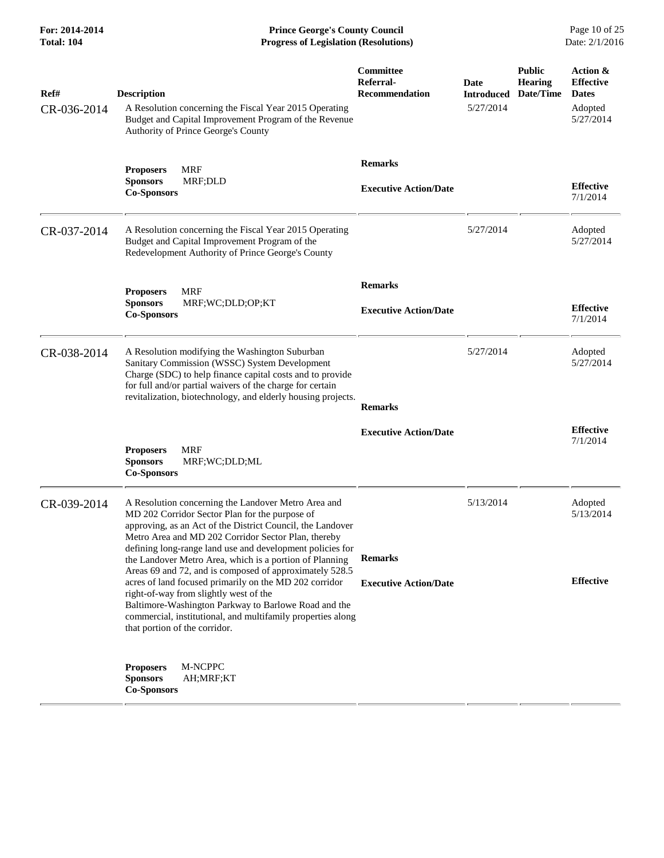**For: 2014-2014 Prince George's County Council** Page 10 of 25<br> **Prince George's County Council** Page 10 of 25<br> **Progress of Legislation (Resolutions)** Date: 2/1/2016 **Total: 104 Progress of Legislation (Resolutions)** 

| Ref#<br>CR-036-2014 | <b>Description</b><br>A Resolution concerning the Fiscal Year 2015 Operating<br>Budget and Capital Improvement Program of the Revenue<br>Authority of Prince George's County                                                                                                                                                                       | Committee<br>Referral-<br><b>Recommendation</b> | Date<br><b>Introduced</b><br>5/27/2014 | <b>Public</b><br><b>Hearing</b><br>Date/Time | Action &<br><b>Effective</b><br><b>Dates</b><br>Adopted<br>5/27/2014 |
|---------------------|----------------------------------------------------------------------------------------------------------------------------------------------------------------------------------------------------------------------------------------------------------------------------------------------------------------------------------------------------|-------------------------------------------------|----------------------------------------|----------------------------------------------|----------------------------------------------------------------------|
|                     | <b>MRF</b><br><b>Proposers</b><br><b>Sponsors</b><br>MRF;DLD<br><b>Co-Sponsors</b>                                                                                                                                                                                                                                                                 | <b>Remarks</b><br><b>Executive Action/Date</b>  |                                        |                                              | <b>Effective</b><br>7/1/2014                                         |
| CR-037-2014         | A Resolution concerning the Fiscal Year 2015 Operating<br>Budget and Capital Improvement Program of the<br>Redevelopment Authority of Prince George's County                                                                                                                                                                                       |                                                 | 5/27/2014                              |                                              | Adopted<br>5/27/2014                                                 |
|                     | MRF<br><b>Proposers</b><br><b>Sponsors</b><br>MRF;WC;DLD;OP;KT<br><b>Co-Sponsors</b>                                                                                                                                                                                                                                                               | <b>Remarks</b><br><b>Executive Action/Date</b>  |                                        |                                              | <b>Effective</b><br>7/1/2014                                         |
| CR-038-2014         | A Resolution modifying the Washington Suburban<br>Sanitary Commission (WSSC) System Development<br>Charge (SDC) to help finance capital costs and to provide<br>for full and/or partial waivers of the charge for certain<br>revitalization, biotechnology, and elderly housing projects.                                                          | <b>Remarks</b>                                  | 5/27/2014                              |                                              | Adopted<br>5/27/2014                                                 |
|                     | <b>MRF</b><br><b>Proposers</b><br>MRF;WC;DLD;ML<br><b>Sponsors</b><br><b>Co-Sponsors</b>                                                                                                                                                                                                                                                           | <b>Executive Action/Date</b>                    |                                        |                                              | <b>Effective</b><br>7/1/2014                                         |
| CR-039-2014         | A Resolution concerning the Landover Metro Area and<br>MD 202 Corridor Sector Plan for the purpose of<br>approving, as an Act of the District Council, the Landover<br>Metro Area and MD 202 Corridor Sector Plan, thereby<br>defining long-range land use and development policies for<br>the Landover Metro Area, which is a portion of Planning | <b>Remarks</b>                                  | 5/13/2014                              |                                              | Adopted<br>5/13/2014                                                 |
|                     | Areas 69 and 72, and is composed of approximately 528.5<br>acres of land focused primarily on the MD 202 corridor<br>right-of-way from slightly west of the<br>Baltimore-Washington Parkway to Barlowe Road and the<br>commercial, institutional, and multifamily properties along<br>that portion of the corridor.                                | <b>Executive Action/Date</b>                    |                                        |                                              | <b>Effective</b>                                                     |
|                     | M-NCPPC<br><b>Proposers</b><br><b>Sponsors</b><br>AH;MRF;KT<br><b>Co-Sponsors</b>                                                                                                                                                                                                                                                                  |                                                 |                                        |                                              |                                                                      |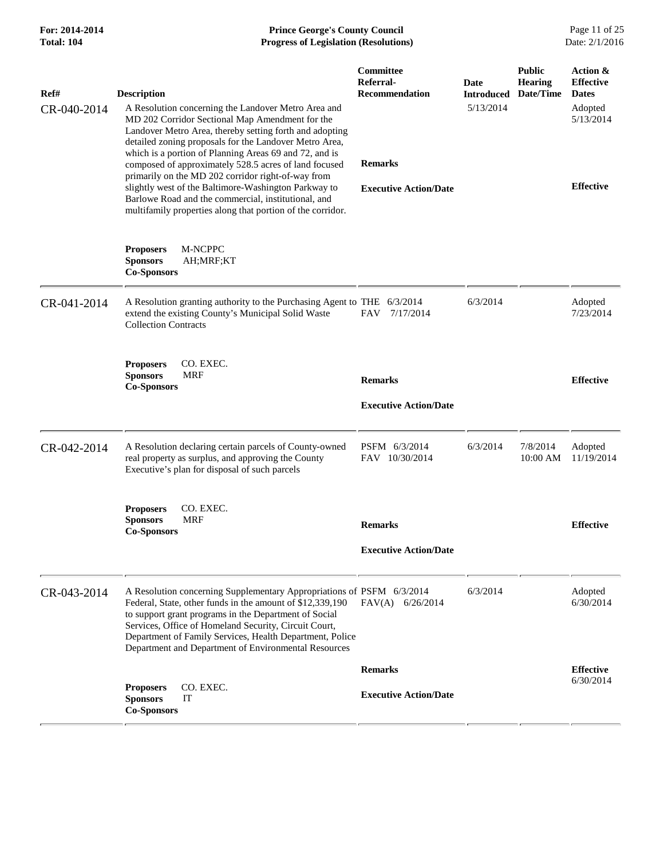| For: 2014-2014<br>Total: 104 | <b>Prince George's County Council</b><br><b>Progress of Legislation (Resolutions)</b>                                                                                                                                                                                                                                                                                                                |                                                 |                           |                                              | Page 11 of 25<br>Date: 2/1/2016              |
|------------------------------|------------------------------------------------------------------------------------------------------------------------------------------------------------------------------------------------------------------------------------------------------------------------------------------------------------------------------------------------------------------------------------------------------|-------------------------------------------------|---------------------------|----------------------------------------------|----------------------------------------------|
| Ref#                         | <b>Description</b>                                                                                                                                                                                                                                                                                                                                                                                   | Committee<br>Referral-<br><b>Recommendation</b> | Date<br><b>Introduced</b> | <b>Public</b><br><b>Hearing</b><br>Date/Time | Action &<br><b>Effective</b><br><b>Dates</b> |
| CR-040-2014                  | A Resolution concerning the Landover Metro Area and<br>MD 202 Corridor Sectional Map Amendment for the<br>Landover Metro Area, thereby setting forth and adopting<br>detailed zoning proposals for the Landover Metro Area,<br>which is a portion of Planning Areas 69 and 72, and is<br>composed of approximately 528.5 acres of land focused<br>primarily on the MD 202 corridor right-of-way from | <b>Remarks</b>                                  | 5/13/2014                 |                                              | Adopted<br>5/13/2014                         |
|                              | slightly west of the Baltimore-Washington Parkway to<br>Barlowe Road and the commercial, institutional, and<br>multifamily properties along that portion of the corridor.                                                                                                                                                                                                                            | <b>Executive Action/Date</b>                    |                           |                                              | <b>Effective</b>                             |
|                              | M-NCPPC<br><b>Proposers</b><br><b>Sponsors</b><br>AH;MRF;KT<br><b>Co-Sponsors</b>                                                                                                                                                                                                                                                                                                                    |                                                 |                           |                                              |                                              |
| CR-041-2014                  | A Resolution granting authority to the Purchasing Agent to THE 6/3/2014<br>extend the existing County's Municipal Solid Waste<br><b>Collection Contracts</b>                                                                                                                                                                                                                                         | <b>FAV</b><br>7/17/2014                         | 6/3/2014                  |                                              | Adopted<br>7/23/2014                         |
|                              | CO. EXEC.<br><b>Proposers</b><br><b>MRF</b><br><b>Sponsors</b><br><b>Co-Sponsors</b>                                                                                                                                                                                                                                                                                                                 | <b>Remarks</b>                                  |                           |                                              | <b>Effective</b>                             |
|                              |                                                                                                                                                                                                                                                                                                                                                                                                      | <b>Executive Action/Date</b>                    |                           |                                              |                                              |
| CR-042-2014                  | A Resolution declaring certain parcels of County-owned<br>real property as surplus, and approving the County<br>Executive's plan for disposal of such parcels                                                                                                                                                                                                                                        | PSFM 6/3/2014<br>FAV 10/30/2014                 | 6/3/2014                  | 7/8/2014<br>10:00 AM                         | Adopted<br>11/19/2014                        |
|                              | CO. EXEC.<br><b>Proposers</b><br>MRF<br><b>Sponsors</b><br><b>Co-Sponsors</b>                                                                                                                                                                                                                                                                                                                        | <b>Remarks</b>                                  |                           |                                              | <b>Effective</b>                             |
|                              |                                                                                                                                                                                                                                                                                                                                                                                                      | <b>Executive Action/Date</b>                    |                           |                                              |                                              |
| CR-043-2014                  | A Resolution concerning Supplementary Appropriations of PSFM 6/3/2014<br>Federal, State, other funds in the amount of \$12,339,190<br>to support grant programs in the Department of Social<br>Services, Office of Homeland Security, Circuit Court,<br>Department of Family Services, Health Department, Police<br>Department and Department of Environmental Resources                             | $FAV(A)$ 6/26/2014                              | 6/3/2014                  |                                              | Adopted<br>6/30/2014                         |
|                              | CO. EXEC.<br><b>Proposers</b><br><b>Sponsors</b><br>IT<br><b>Co-Sponsors</b>                                                                                                                                                                                                                                                                                                                         | <b>Remarks</b><br><b>Executive Action/Date</b>  |                           |                                              | <b>Effective</b><br>6/30/2014                |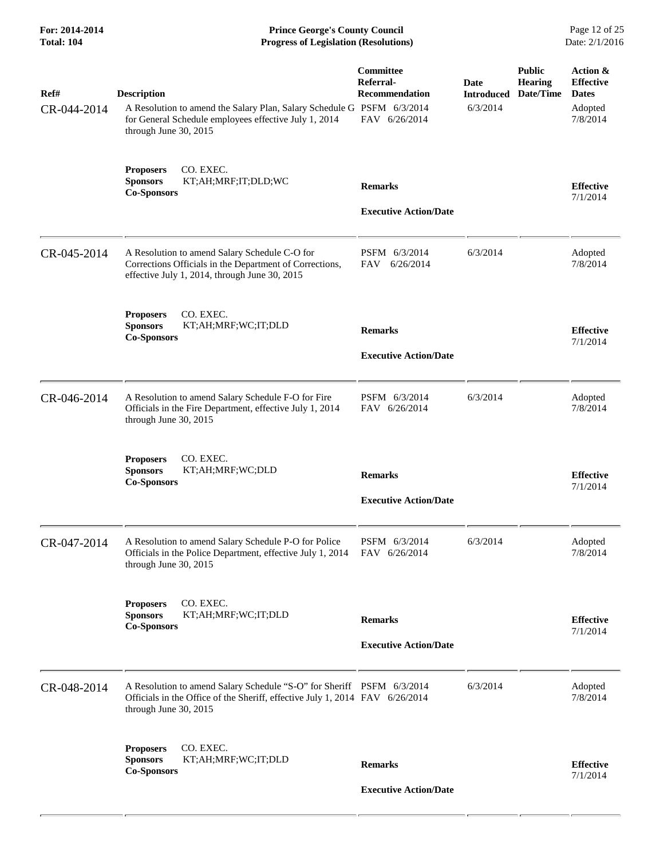| For: 2014-2014<br><b>Total: 104</b> | <b>Prince George's County Council</b><br><b>Progress of Legislation (Resolutions)</b>                                                                                          |                                                                  |                                       |                                              | Page 12 of 25<br>Date: 2/1/2016                                     |
|-------------------------------------|--------------------------------------------------------------------------------------------------------------------------------------------------------------------------------|------------------------------------------------------------------|---------------------------------------|----------------------------------------------|---------------------------------------------------------------------|
| Ref#<br>CR-044-2014                 | <b>Description</b><br>A Resolution to amend the Salary Plan, Salary Schedule G PSFM 6/3/2014<br>for General Schedule employees effective July 1, 2014<br>through June 30, 2015 | Committee<br>Referral-<br><b>Recommendation</b><br>FAV 6/26/2014 | Date<br><b>Introduced</b><br>6/3/2014 | <b>Public</b><br><b>Hearing</b><br>Date/Time | Action &<br><b>Effective</b><br><b>Dates</b><br>Adopted<br>7/8/2014 |
|                                     | CO. EXEC.<br><b>Proposers</b><br><b>Sponsors</b><br>KT;AH;MRF;IT;DLD;WC<br><b>Co-Sponsors</b>                                                                                  | <b>Remarks</b><br><b>Executive Action/Date</b>                   |                                       |                                              | <b>Effective</b><br>7/1/2014                                        |
| CR-045-2014                         | A Resolution to amend Salary Schedule C-O for<br>Corrections Officials in the Department of Corrections,<br>effective July 1, 2014, through June 30, 2015                      | PSFM 6/3/2014<br>6/26/2014<br>FAV                                | 6/3/2014                              |                                              | Adopted<br>7/8/2014                                                 |
|                                     | CO. EXEC.<br><b>Proposers</b><br><b>Sponsors</b><br>KT;AH;MRF;WC;IT;DLD<br><b>Co-Sponsors</b>                                                                                  | <b>Remarks</b><br><b>Executive Action/Date</b>                   |                                       |                                              | <b>Effective</b><br>7/1/2014                                        |
| CR-046-2014                         | A Resolution to amend Salary Schedule F-O for Fire<br>Officials in the Fire Department, effective July 1, 2014<br>through June 30, 2015                                        | PSFM 6/3/2014<br>FAV 6/26/2014                                   | 6/3/2014                              |                                              | Adopted<br>7/8/2014                                                 |
|                                     | CO. EXEC.<br><b>Proposers</b><br><b>Sponsors</b><br>KT;AH;MRF;WC;DLD<br><b>Co-Sponsors</b>                                                                                     | <b>Remarks</b><br><b>Executive Action/Date</b>                   |                                       |                                              | <b>Effective</b><br>7/1/2014                                        |
| CR-047-2014                         | A Resolution to amend Salary Schedule P-O for Police<br>Officials in the Police Department, effective July 1, 2014<br>through June 30, 2015                                    | PSFM 6/3/2014<br>FAV 6/26/2014                                   | 6/3/2014                              |                                              | Adopted<br>7/8/2014                                                 |
|                                     | CO. EXEC.<br><b>Proposers</b><br><b>Sponsors</b><br>KT;AH;MRF;WC;IT;DLD<br><b>Co-Sponsors</b>                                                                                  | <b>Remarks</b><br><b>Executive Action/Date</b>                   |                                       |                                              | <b>Effective</b><br>7/1/2014                                        |
| CR-048-2014                         | A Resolution to amend Salary Schedule "S-O" for Sheriff PSFM 6/3/2014<br>Officials in the Office of the Sheriff, effective July 1, 2014 FAV 6/26/2014<br>through June 30, 2015 |                                                                  | 6/3/2014                              |                                              | Adopted<br>7/8/2014                                                 |
|                                     | CO. EXEC.<br><b>Proposers</b><br><b>Sponsors</b><br>KT;AH;MRF;WC;IT;DLD<br><b>Co-Sponsors</b>                                                                                  | <b>Remarks</b><br><b>Executive Action/Date</b>                   |                                       |                                              | <b>Effective</b><br>7/1/2014                                        |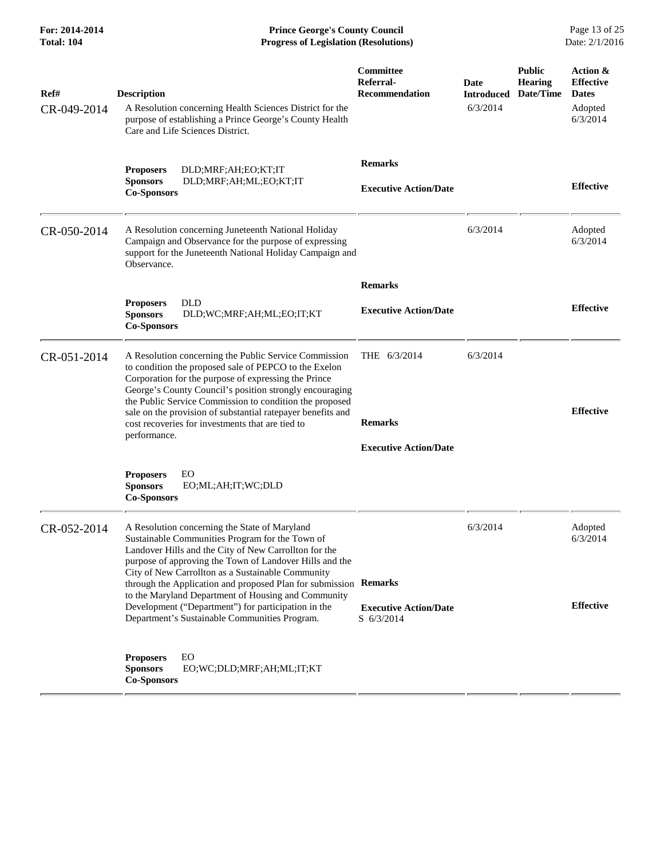**For: 2014-2014 Prince George's County Council** Page 13 of 25<br> **Progress of Legislation (Resolutions)** Date: 2/1/2016 **Total: 104 Progress of Legislation (Resolutions)** 

| Ref#<br>CR-049-2014 | <b>Description</b><br>A Resolution concerning Health Sciences District for the<br>purpose of establishing a Prince George's County Health<br>Care and Life Sciences District.                                                                                                                                                                                                                                                   | <b>Committee</b><br>Referral-<br><b>Recommendation</b>         | <b>Date</b><br><b>Introduced</b><br>6/3/2014 | <b>Public</b><br><b>Hearing</b><br>Date/Time | Action &<br><b>Effective</b><br><b>Dates</b><br>Adopted<br>6/3/2014 |
|---------------------|---------------------------------------------------------------------------------------------------------------------------------------------------------------------------------------------------------------------------------------------------------------------------------------------------------------------------------------------------------------------------------------------------------------------------------|----------------------------------------------------------------|----------------------------------------------|----------------------------------------------|---------------------------------------------------------------------|
|                     | <b>Proposers</b><br>DLD;MRF;AH;EO;KT;IT<br><b>Sponsors</b><br>DLD;MRF;AH;ML;EO;KT;IT<br><b>Co-Sponsors</b>                                                                                                                                                                                                                                                                                                                      | <b>Remarks</b><br><b>Executive Action/Date</b>                 |                                              |                                              | <b>Effective</b>                                                    |
| CR-050-2014         | A Resolution concerning Juneteenth National Holiday<br>Campaign and Observance for the purpose of expressing<br>support for the Juneteenth National Holiday Campaign and<br>Observance.                                                                                                                                                                                                                                         |                                                                | 6/3/2014                                     |                                              | Adopted<br>6/3/2014                                                 |
|                     |                                                                                                                                                                                                                                                                                                                                                                                                                                 | <b>Remarks</b>                                                 |                                              |                                              |                                                                     |
|                     | <b>DLD</b><br><b>Proposers</b><br><b>Sponsors</b><br>DLD;WC;MRF;AH;ML;EO;IT;KT<br><b>Co-Sponsors</b>                                                                                                                                                                                                                                                                                                                            | <b>Executive Action/Date</b>                                   |                                              |                                              | <b>Effective</b>                                                    |
| CR-051-2014         | A Resolution concerning the Public Service Commission<br>to condition the proposed sale of PEPCO to the Exelon<br>Corporation for the purpose of expressing the Prince<br>George's County Council's position strongly encouraging<br>the Public Service Commission to condition the proposed<br>sale on the provision of substantial ratepayer benefits and<br>cost recoveries for investments that are tied to<br>performance. | THE 6/3/2014<br><b>Remarks</b><br><b>Executive Action/Date</b> | 6/3/2014                                     |                                              | <b>Effective</b>                                                    |
|                     | EO<br><b>Proposers</b><br><b>Sponsors</b><br>EO;ML;AH;IT;WC;DLD<br><b>Co-Sponsors</b>                                                                                                                                                                                                                                                                                                                                           |                                                                |                                              |                                              |                                                                     |
| CR-052-2014         | A Resolution concerning the State of Maryland<br>Sustainable Communities Program for the Town of<br>Landover Hills and the City of New Carrollton for the<br>purpose of approving the Town of Landover Hills and the<br>City of New Carrollton as a Sustainable Community<br>through the Application and proposed Plan for submission Remarks<br>to the Maryland Department of Housing and Community                            |                                                                | 6/3/2014                                     |                                              | Adopted<br>6/3/2014                                                 |
|                     | Development ("Department") for participation in the<br>Department's Sustainable Communities Program.                                                                                                                                                                                                                                                                                                                            | <b>Executive Action/Date</b><br>S 6/3/2014                     |                                              |                                              | <b>Effective</b>                                                    |
|                     | <b>Proposers</b><br>EO<br><b>Sponsors</b><br>EO;WC;DLD;MRF;AH;ML;IT;KT<br><b>Co-Sponsors</b>                                                                                                                                                                                                                                                                                                                                    |                                                                |                                              |                                              |                                                                     |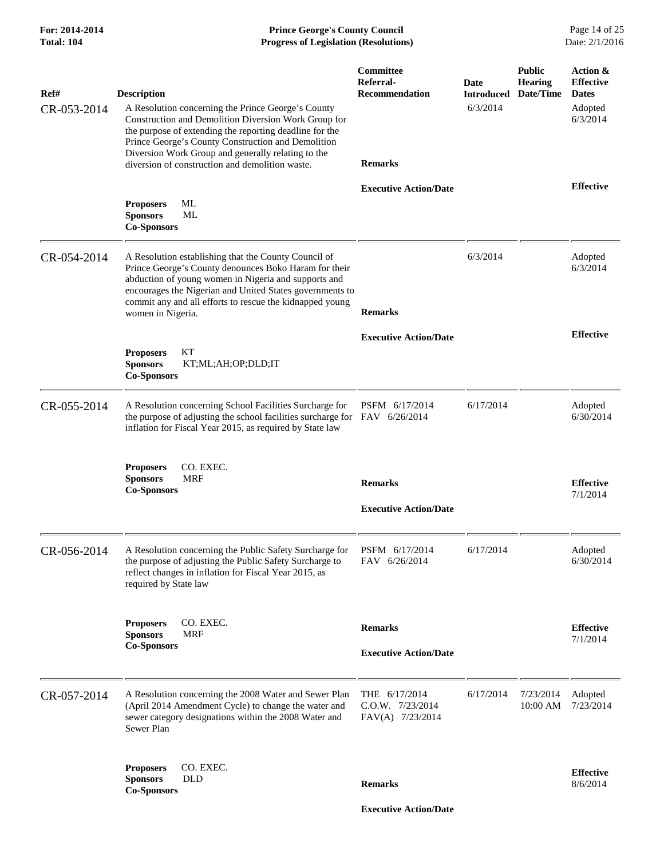| For: 2014-2014<br>Total: 104 | <b>Prince George's County Council</b><br>Page 14 of 25<br>Date: 2/1/2016<br><b>Progress of Legislation (Resolutions)</b>                                                                                                                                                                                                                                   |                                                                   |                                       |                                              |                                                                     |
|------------------------------|------------------------------------------------------------------------------------------------------------------------------------------------------------------------------------------------------------------------------------------------------------------------------------------------------------------------------------------------------------|-------------------------------------------------------------------|---------------------------------------|----------------------------------------------|---------------------------------------------------------------------|
| Ref#<br>CR-053-2014          | <b>Description</b><br>A Resolution concerning the Prince George's County<br>Construction and Demolition Diversion Work Group for<br>the purpose of extending the reporting deadline for the<br>Prince George's County Construction and Demolition<br>Diversion Work Group and generally relating to the<br>diversion of construction and demolition waste. | Committee<br>Referral-<br><b>Recommendation</b><br><b>Remarks</b> | Date<br><b>Introduced</b><br>6/3/2014 | <b>Public</b><br><b>Hearing</b><br>Date/Time | Action &<br><b>Effective</b><br><b>Dates</b><br>Adopted<br>6/3/2014 |
|                              |                                                                                                                                                                                                                                                                                                                                                            | <b>Executive Action/Date</b>                                      |                                       |                                              | <b>Effective</b>                                                    |
|                              | ML<br><b>Proposers</b><br><b>Sponsors</b><br>ML<br><b>Co-Sponsors</b>                                                                                                                                                                                                                                                                                      |                                                                   |                                       |                                              |                                                                     |
| CR-054-2014                  | A Resolution establishing that the County Council of<br>Prince George's County denounces Boko Haram for their<br>abduction of young women in Nigeria and supports and<br>encourages the Nigerian and United States governments to<br>commit any and all efforts to rescue the kidnapped young<br>women in Nigeria.                                         | <b>Remarks</b>                                                    | 6/3/2014                              |                                              | Adopted<br>6/3/2014                                                 |
|                              |                                                                                                                                                                                                                                                                                                                                                            | <b>Executive Action/Date</b>                                      |                                       |                                              | <b>Effective</b>                                                    |
|                              | KT<br><b>Proposers</b><br><b>Sponsors</b><br>KT;ML;AH;OP;DLD;IT<br><b>Co-Sponsors</b>                                                                                                                                                                                                                                                                      |                                                                   |                                       |                                              |                                                                     |
| CR-055-2014                  | A Resolution concerning School Facilities Surcharge for<br>the purpose of adjusting the school facilities surcharge for FAV 6/26/2014<br>inflation for Fiscal Year 2015, as required by State law                                                                                                                                                          | PSFM 6/17/2014                                                    | 6/17/2014                             |                                              | Adopted<br>6/30/2014                                                |
|                              | CO. EXEC.<br><b>Proposers</b><br><b>Sponsors</b><br><b>MRF</b><br><b>Co-Sponsors</b>                                                                                                                                                                                                                                                                       | <b>Remarks</b><br><b>Executive Action/Date</b>                    |                                       |                                              | <b>Effective</b><br>7/1/2014                                        |
|                              |                                                                                                                                                                                                                                                                                                                                                            |                                                                   |                                       |                                              |                                                                     |
| CR-056-2014                  | A Resolution concerning the Public Safety Surcharge for<br>the purpose of adjusting the Public Safety Surcharge to<br>reflect changes in inflation for Fiscal Year 2015, as<br>required by State law                                                                                                                                                       | PSFM 6/17/2014<br>FAV 6/26/2014                                   | 6/17/2014                             |                                              | Adopted<br>6/30/2014                                                |
|                              | CO. EXEC.<br><b>Proposers</b><br><b>Sponsors</b><br><b>MRF</b>                                                                                                                                                                                                                                                                                             | <b>Remarks</b>                                                    |                                       |                                              | <b>Effective</b>                                                    |
|                              | <b>Co-Sponsors</b>                                                                                                                                                                                                                                                                                                                                         | <b>Executive Action/Date</b>                                      |                                       |                                              | 7/1/2014                                                            |
| CR-057-2014                  | A Resolution concerning the 2008 Water and Sewer Plan<br>(April 2014 Amendment Cycle) to change the water and<br>sewer category designations within the 2008 Water and<br>Sewer Plan                                                                                                                                                                       | THE 6/17/2014<br>C.O.W. 7/23/2014<br>FAV(A) 7/23/2014             | 6/17/2014                             | 7/23/2014<br>10:00 AM                        | Adopted<br>7/23/2014                                                |
|                              | CO. EXEC.<br><b>Proposers</b><br><b>DLD</b><br><b>Sponsors</b>                                                                                                                                                                                                                                                                                             | <b>Remarks</b>                                                    |                                       |                                              | <b>Effective</b><br>8/6/2014                                        |
|                              | <b>Co-Sponsors</b>                                                                                                                                                                                                                                                                                                                                         | <b>Executive Action/Date</b>                                      |                                       |                                              |                                                                     |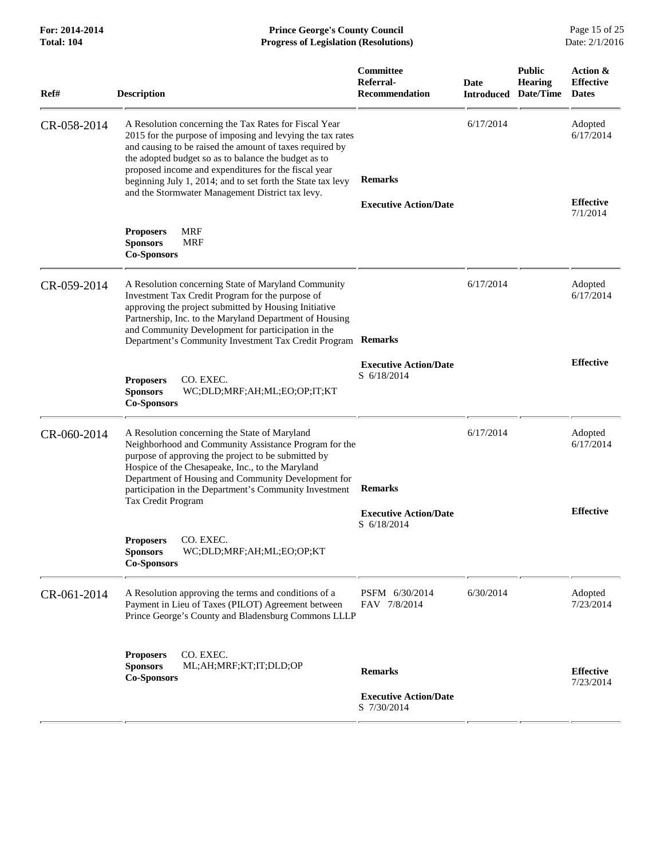| <b>Progress of Legislation (Resolutions)</b>                                                                                                                                                                                                                                                                                              |                                                                                                                |                                                                                                                                            |                                 |                                              |
|-------------------------------------------------------------------------------------------------------------------------------------------------------------------------------------------------------------------------------------------------------------------------------------------------------------------------------------------|----------------------------------------------------------------------------------------------------------------|--------------------------------------------------------------------------------------------------------------------------------------------|---------------------------------|----------------------------------------------|
| <b>Description</b>                                                                                                                                                                                                                                                                                                                        | Committee<br>Referral-<br><b>Recommendation</b>                                                                | <b>Date</b><br>Introduced                                                                                                                  | <b>Public</b><br><b>Hearing</b> | Action &<br><b>Effective</b><br><b>Dates</b> |
| A Resolution concerning the Tax Rates for Fiscal Year<br>and causing to be raised the amount of taxes required by<br>the adopted budget so as to balance the budget as to<br>proposed income and expenditures for the fiscal year<br>beginning July 1, 2014; and to set forth the State tax levy                                          | <b>Remarks</b>                                                                                                 | 6/17/2014                                                                                                                                  |                                 | Adopted<br>6/17/2014                         |
|                                                                                                                                                                                                                                                                                                                                           | <b>Executive Action/Date</b>                                                                                   |                                                                                                                                            |                                 | <b>Effective</b><br>7/1/2014                 |
| <b>Proposers</b><br><b>MRF</b><br><b>Sponsors</b><br><b>MRF</b><br><b>Co-Sponsors</b>                                                                                                                                                                                                                                                     |                                                                                                                |                                                                                                                                            |                                 |                                              |
| A Resolution concerning State of Maryland Community<br>Investment Tax Credit Program for the purpose of<br>approving the project submitted by Housing Initiative<br>Partnership, Inc. to the Maryland Department of Housing<br>and Community Development for participation in the<br>Department's Community Investment Tax Credit Program | <b>Remarks</b>                                                                                                 | 6/17/2014                                                                                                                                  |                                 | Adopted<br>6/17/2014                         |
| CO. EXEC.<br><b>Proposers</b><br><b>Sponsors</b><br>WC;DLD;MRF;AH;ML;EO;OP;IT;KT<br><b>Co-Sponsors</b>                                                                                                                                                                                                                                    | <b>Executive Action/Date</b><br>S 6/18/2014                                                                    |                                                                                                                                            |                                 | <b>Effective</b>                             |
| A Resolution concerning the State of Maryland<br>purpose of approving the project to be submitted by<br>Hospice of the Chesapeake, Inc., to the Maryland<br>Department of Housing and Community Development for<br>participation in the Department's Community Investment<br>Tax Credit Program                                           | <b>Remarks</b><br><b>Executive Action/Date</b>                                                                 | 6/17/2014                                                                                                                                  |                                 | Adopted<br>6/17/2014<br><b>Effective</b>     |
| <b>Proposers</b><br>CO. EXEC.<br><b>Sponsors</b><br>WC;DLD;MRF;AH;ML;EO;OP;KT<br><b>Co-Sponsors</b>                                                                                                                                                                                                                                       |                                                                                                                |                                                                                                                                            |                                 |                                              |
| A Resolution approving the terms and conditions of a<br>Payment in Lieu of Taxes (PILOT) Agreement between                                                                                                                                                                                                                                | PSFM 6/30/2014<br>FAV 7/8/2014                                                                                 | 6/30/2014                                                                                                                                  |                                 | Adopted<br>7/23/2014                         |
| CO. EXEC.<br><b>Proposers</b><br><b>Sponsors</b><br>ML;AH;MRF;KT;IT;DLD;OP<br><b>Co-Sponsors</b>                                                                                                                                                                                                                                          | <b>Remarks</b><br><b>Executive Action/Date</b>                                                                 |                                                                                                                                            |                                 | <b>Effective</b><br>7/23/2014                |
|                                                                                                                                                                                                                                                                                                                                           | 2015 for the purpose of imposing and levying the tax rates<br>and the Stormwater Management District tax levy. | Neighborhood and Community Assistance Program for the<br>S 6/18/2014<br>Prince George's County and Bladensburg Commons LLLP<br>S 7/30/2014 |                                 | Date/Time                                    |

For: 2014-2014 **Prince George's County Council** Page 15 of 25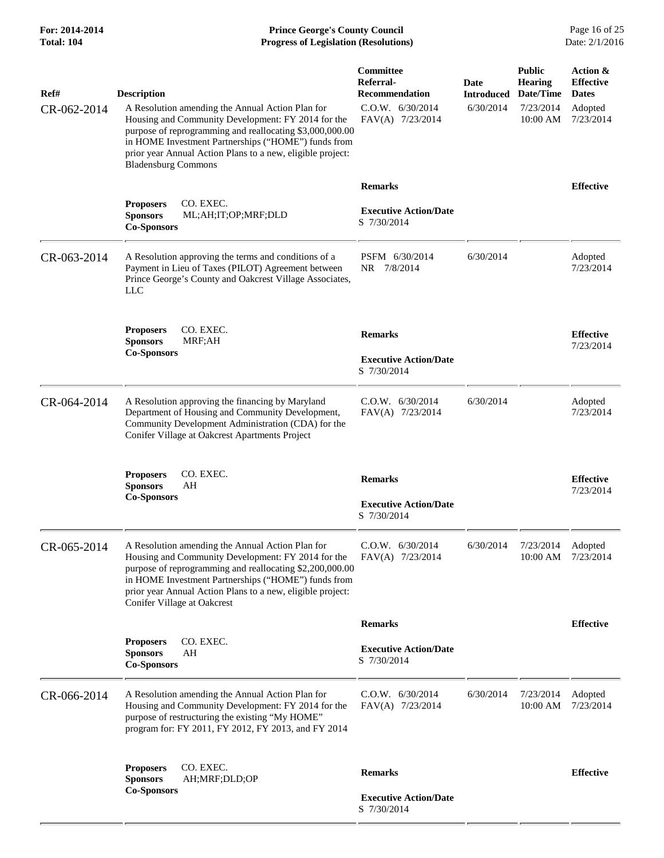**For: 2014-2014 Prince George's County Council** Page 16 of 25<br> **Progress of Legislation (Resolutions)** Date: 2/1/2016 **Progress of Legislation (Resolutions)** 

| Ref#        | <b>Description</b>                                                                                                                                                                                                                                                                                                     | Committee<br>Referral-<br><b>Recommendation</b>               | Date<br><b>Introduced</b> | <b>Public</b><br><b>Hearing</b><br>Date/Time | Action &<br><b>Effective</b><br><b>Dates</b> |
|-------------|------------------------------------------------------------------------------------------------------------------------------------------------------------------------------------------------------------------------------------------------------------------------------------------------------------------------|---------------------------------------------------------------|---------------------------|----------------------------------------------|----------------------------------------------|
| CR-062-2014 | A Resolution amending the Annual Action Plan for<br>Housing and Community Development: FY 2014 for the<br>purpose of reprogramming and reallocating \$3,000,000.00<br>in HOME Investment Partnerships ("HOME") funds from<br>prior year Annual Action Plans to a new, eligible project:<br><b>Bladensburg Commons</b>  | C.0.W. 6/30/2014<br>FAV(A) 7/23/2014                          | 6/30/2014                 | 7/23/2014<br>$10:00$ AM                      | Adopted<br>7/23/2014                         |
|             |                                                                                                                                                                                                                                                                                                                        | <b>Remarks</b>                                                |                           |                                              | <b>Effective</b>                             |
|             | CO. EXEC.<br><b>Proposers</b><br><b>Sponsors</b><br>ML;AH;IT;OP;MRF;DLD<br><b>Co-Sponsors</b>                                                                                                                                                                                                                          | <b>Executive Action/Date</b><br>S 7/30/2014                   |                           |                                              |                                              |
| CR-063-2014 | A Resolution approving the terms and conditions of a<br>Payment in Lieu of Taxes (PILOT) Agreement between<br>Prince George's County and Oakcrest Village Associates,<br>LLC                                                                                                                                           | PSFM 6/30/2014<br>NR 7/8/2014                                 | 6/30/2014                 |                                              | Adopted<br>7/23/2014                         |
|             | <b>Proposers</b><br>CO. EXEC.<br><b>Sponsors</b><br>MRF;AH<br><b>Co-Sponsors</b>                                                                                                                                                                                                                                       | <b>Remarks</b><br><b>Executive Action/Date</b><br>S 7/30/2014 |                           |                                              | <b>Effective</b><br>7/23/2014                |
| CR-064-2014 | A Resolution approving the financing by Maryland<br>Department of Housing and Community Development,<br>Community Development Administration (CDA) for the<br>Conifer Village at Oakcrest Apartments Project                                                                                                           | C.0.W. 6/30/2014<br>FAV(A) 7/23/2014                          | 6/30/2014                 |                                              | Adopted<br>7/23/2014                         |
|             | <b>Proposers</b><br>CO. EXEC.<br><b>Sponsors</b><br>AH<br><b>Co-Sponsors</b>                                                                                                                                                                                                                                           | <b>Remarks</b><br><b>Executive Action/Date</b><br>S 7/30/2014 |                           |                                              | <b>Effective</b><br>7/23/2014                |
| CR-065-2014 | A Resolution amending the Annual Action Plan for<br>Housing and Community Development: FY 2014 for the<br>purpose of reprogramming and reallocating \$2,200,000.00<br>in HOME Investment Partnerships ("HOME") funds from<br>prior year Annual Action Plans to a new, eligible project:<br>Conifer Village at Oakcrest | C.0.W. 6/30/2014<br>FAV(A) 7/23/2014                          | 6/30/2014                 | 7/23/2014                                    | Adopted<br>10:00 AM 7/23/2014                |
|             |                                                                                                                                                                                                                                                                                                                        | <b>Remarks</b>                                                |                           |                                              | <b>Effective</b>                             |
|             | <b>Proposers</b><br>CO. EXEC.<br><b>Sponsors</b><br>AH<br><b>Co-Sponsors</b>                                                                                                                                                                                                                                           | <b>Executive Action/Date</b><br>S 7/30/2014                   |                           |                                              |                                              |
| CR-066-2014 | A Resolution amending the Annual Action Plan for<br>Housing and Community Development: FY 2014 for the<br>purpose of restructuring the existing "My HOME"<br>program for: FY 2011, FY 2012, FY 2013, and FY 2014                                                                                                       | C.0.W. 6/30/2014<br>FAV(A) 7/23/2014                          | 6/30/2014                 | 7/23/2014<br>10:00 AM                        | Adopted<br>7/23/2014                         |
|             | <b>Proposers</b><br>CO. EXEC.<br>AH;MRF;DLD;OP<br><b>Sponsors</b>                                                                                                                                                                                                                                                      | <b>Remarks</b>                                                |                           |                                              | <b>Effective</b>                             |
|             | <b>Co-Sponsors</b>                                                                                                                                                                                                                                                                                                     | <b>Executive Action/Date</b><br>S 7/30/2014                   |                           |                                              |                                              |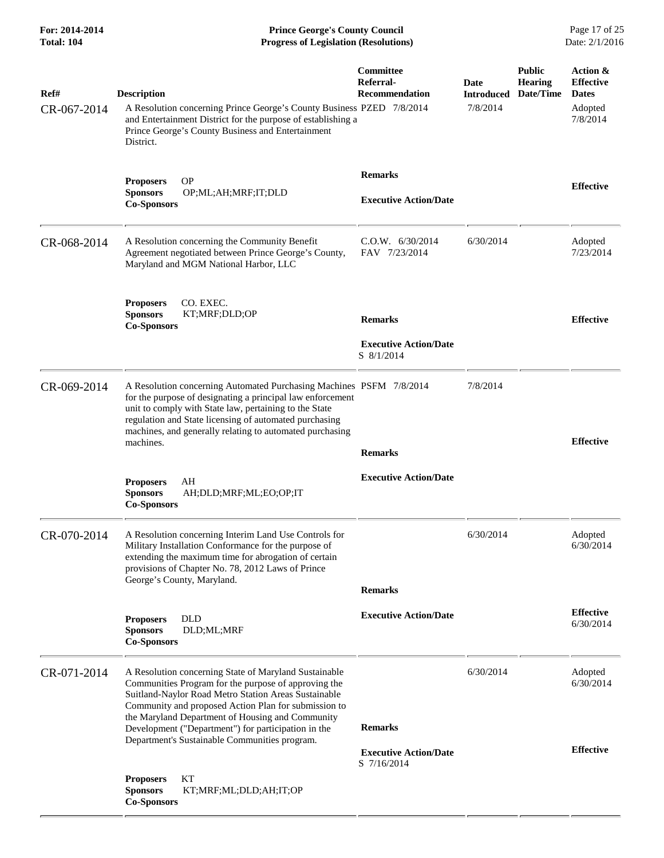**For: 2014-2014 Prince George's County Council** Page 17 of 25<br> **Prince George's County Council** Page 17 of 25<br> **Progress of Legislation (Resolutions)** Date: 2/1/2016 **Progress of Legislation (Resolutions)** 

| Ref#<br>CR-067-2014 | <b>Description</b><br>A Resolution concerning Prince George's County Business PZED 7/8/2014<br>and Entertainment District for the purpose of establishing a<br>Prince George's County Business and Entertainment<br>District.                                                                                                                                                             | Committee<br>Referral-<br><b>Recommendation</b>               | Date<br><b>Introduced</b><br>7/8/2014 | <b>Public</b><br><b>Hearing</b><br>Date/Time | Action &<br><b>Effective</b><br><b>Dates</b><br>Adopted<br>7/8/2014 |
|---------------------|-------------------------------------------------------------------------------------------------------------------------------------------------------------------------------------------------------------------------------------------------------------------------------------------------------------------------------------------------------------------------------------------|---------------------------------------------------------------|---------------------------------------|----------------------------------------------|---------------------------------------------------------------------|
|                     | <b>OP</b><br><b>Proposers</b><br><b>Sponsors</b><br>OP;ML;AH;MRF;IT;DLD<br><b>Co-Sponsors</b>                                                                                                                                                                                                                                                                                             | <b>Remarks</b><br><b>Executive Action/Date</b>                |                                       |                                              | <b>Effective</b>                                                    |
| CR-068-2014         | A Resolution concerning the Community Benefit<br>Agreement negotiated between Prince George's County,<br>Maryland and MGM National Harbor, LLC                                                                                                                                                                                                                                            | C.0.W. 6/30/2014<br>FAV 7/23/2014                             | 6/30/2014                             |                                              | Adopted<br>7/23/2014                                                |
|                     | <b>Proposers</b><br>CO. EXEC.<br><b>Sponsors</b><br>KT;MRF;DLD;OP<br><b>Co-Sponsors</b>                                                                                                                                                                                                                                                                                                   | <b>Remarks</b><br><b>Executive Action/Date</b><br>S 8/1/2014  |                                       |                                              | <b>Effective</b>                                                    |
| CR-069-2014         | A Resolution concerning Automated Purchasing Machines PSFM 7/8/2014<br>for the purpose of designating a principal law enforcement<br>unit to comply with State law, pertaining to the State<br>regulation and State licensing of automated purchasing<br>machines, and generally relating to automated purchasing<br>machines.                                                            | <b>Remarks</b>                                                | 7/8/2014                              |                                              | <b>Effective</b>                                                    |
|                     | AH<br><b>Proposers</b><br><b>Sponsors</b><br>AH;DLD;MRF;ML;EO;OP;IT<br><b>Co-Sponsors</b>                                                                                                                                                                                                                                                                                                 | <b>Executive Action/Date</b>                                  |                                       |                                              |                                                                     |
| CR-070-2014         | A Resolution concerning Interim Land Use Controls for<br>Military Installation Conformance for the purpose of<br>extending the maximum time for abrogation of certain<br>provisions of Chapter No. 78, 2012 Laws of Prince<br>George's County, Maryland.                                                                                                                                  | <b>Remarks</b>                                                | 6/30/2014                             |                                              | Adopted<br>6/30/2014                                                |
|                     | <b>DLD</b><br><b>Proposers</b><br>DLD;ML;MRF<br><b>Sponsors</b><br><b>Co-Sponsors</b>                                                                                                                                                                                                                                                                                                     | <b>Executive Action/Date</b>                                  |                                       |                                              | <b>Effective</b><br>6/30/2014                                       |
| CR-071-2014         | A Resolution concerning State of Maryland Sustainable<br>Communities Program for the purpose of approving the<br>Suitland-Naylor Road Metro Station Areas Sustainable<br>Community and proposed Action Plan for submission to<br>the Maryland Department of Housing and Community<br>Development ("Department") for participation in the<br>Department's Sustainable Communities program. | <b>Remarks</b><br><b>Executive Action/Date</b><br>S 7/16/2014 | 6/30/2014                             |                                              | Adopted<br>6/30/2014<br><b>Effective</b>                            |
|                     | KТ<br><b>Proposers</b><br><b>Sponsors</b><br>KT;MRF;ML;DLD;AH;IT;OP<br><b>Co-Sponsors</b>                                                                                                                                                                                                                                                                                                 |                                                               |                                       |                                              |                                                                     |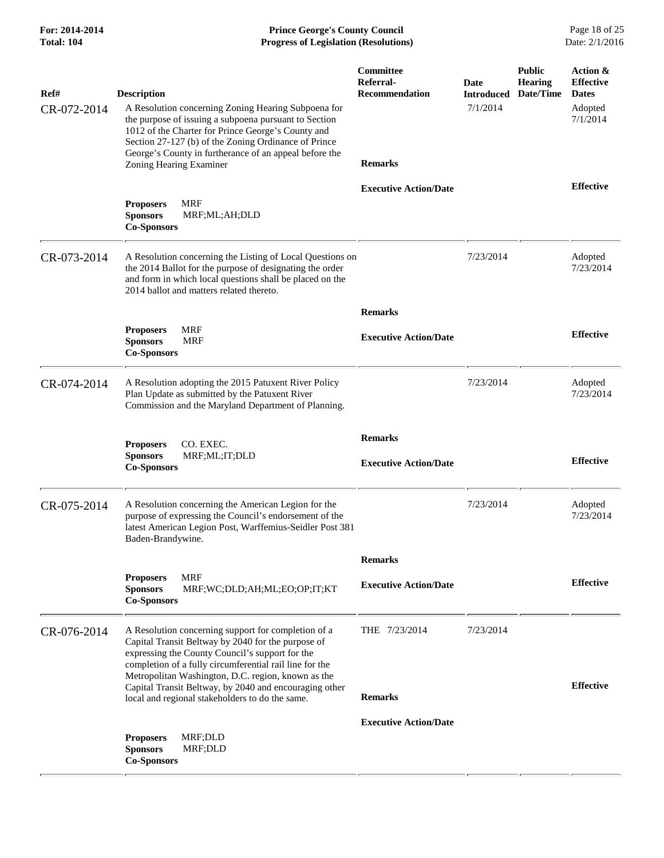| For: 2014-2014<br>Total: 104 | <b>Prince George's County Council</b><br>Date: 2/1/2016<br><b>Progress of Legislation (Resolutions)</b>                                                                                                                                                                                                                                                                                    |                                                 |                                       |                                              |                                                                     |
|------------------------------|--------------------------------------------------------------------------------------------------------------------------------------------------------------------------------------------------------------------------------------------------------------------------------------------------------------------------------------------------------------------------------------------|-------------------------------------------------|---------------------------------------|----------------------------------------------|---------------------------------------------------------------------|
| Ref#<br>CR-072-2014          | <b>Description</b><br>A Resolution concerning Zoning Hearing Subpoena for<br>the purpose of issuing a subpoena pursuant to Section<br>1012 of the Charter for Prince George's County and<br>Section 27-127 (b) of the Zoning Ordinance of Prince                                                                                                                                           | <b>Committee</b><br>Referral-<br>Recommendation | Date<br><b>Introduced</b><br>7/1/2014 | <b>Public</b><br><b>Hearing</b><br>Date/Time | Action &<br><b>Effective</b><br><b>Dates</b><br>Adopted<br>7/1/2014 |
|                              | George's County in furtherance of an appeal before the<br>Zoning Hearing Examiner<br><b>MRF</b><br><b>Proposers</b><br><b>Sponsors</b><br>MRF;ML;AH;DLD<br><b>Co-Sponsors</b>                                                                                                                                                                                                              | <b>Remarks</b><br><b>Executive Action/Date</b>  |                                       |                                              | <b>Effective</b>                                                    |
| CR-073-2014                  | A Resolution concerning the Listing of Local Questions on<br>the 2014 Ballot for the purpose of designating the order<br>and form in which local questions shall be placed on the<br>2014 ballot and matters related thereto.                                                                                                                                                              |                                                 | 7/23/2014                             |                                              | Adopted<br>7/23/2014                                                |
|                              | <b>MRF</b><br><b>Proposers</b><br><b>Sponsors</b><br><b>MRF</b><br><b>Co-Sponsors</b>                                                                                                                                                                                                                                                                                                      | <b>Remarks</b><br><b>Executive Action/Date</b>  |                                       |                                              | <b>Effective</b>                                                    |
| CR-074-2014                  | A Resolution adopting the 2015 Patuxent River Policy<br>Plan Update as submitted by the Patuxent River<br>Commission and the Maryland Department of Planning.                                                                                                                                                                                                                              |                                                 | 7/23/2014                             |                                              | Adopted<br>7/23/2014                                                |
|                              | CO. EXEC.<br><b>Proposers</b><br><b>Sponsors</b><br>MRF;ML;IT;DLD<br><b>Co-Sponsors</b>                                                                                                                                                                                                                                                                                                    | <b>Remarks</b><br><b>Executive Action/Date</b>  |                                       |                                              | <b>Effective</b>                                                    |
| CR-075-2014                  | A Resolution concerning the American Legion for the<br>purpose of expressing the Council's endorsement of the<br>latest American Legion Post, Warffemius-Seidler Post 381<br>Baden-Brandywine.                                                                                                                                                                                             |                                                 | 7/23/2014                             |                                              | Adopted<br>7/23/2014                                                |
|                              | <b>MRF</b><br><b>Proposers</b><br><b>Sponsors</b><br>MRF;WC;DLD;AH;ML;EO;OP;IT;KT<br><b>Co-Sponsors</b>                                                                                                                                                                                                                                                                                    | <b>Remarks</b><br><b>Executive Action/Date</b>  |                                       |                                              | <b>Effective</b>                                                    |
| CR-076-2014                  | A Resolution concerning support for completion of a<br>Capital Transit Beltway by 2040 for the purpose of<br>expressing the County Council's support for the<br>completion of a fully circumferential rail line for the<br>Metropolitan Washington, D.C. region, known as the<br>Capital Transit Beltway, by 2040 and encouraging other<br>local and regional stakeholders to do the same. | THE 7/23/2014<br><b>Remarks</b>                 | 7/23/2014                             |                                              | <b>Effective</b>                                                    |
|                              | MRF;DLD<br><b>Proposers</b><br><b>Sponsors</b><br>MRF;DLD<br><b>Co-Sponsors</b>                                                                                                                                                                                                                                                                                                            | <b>Executive Action/Date</b>                    |                                       |                                              |                                                                     |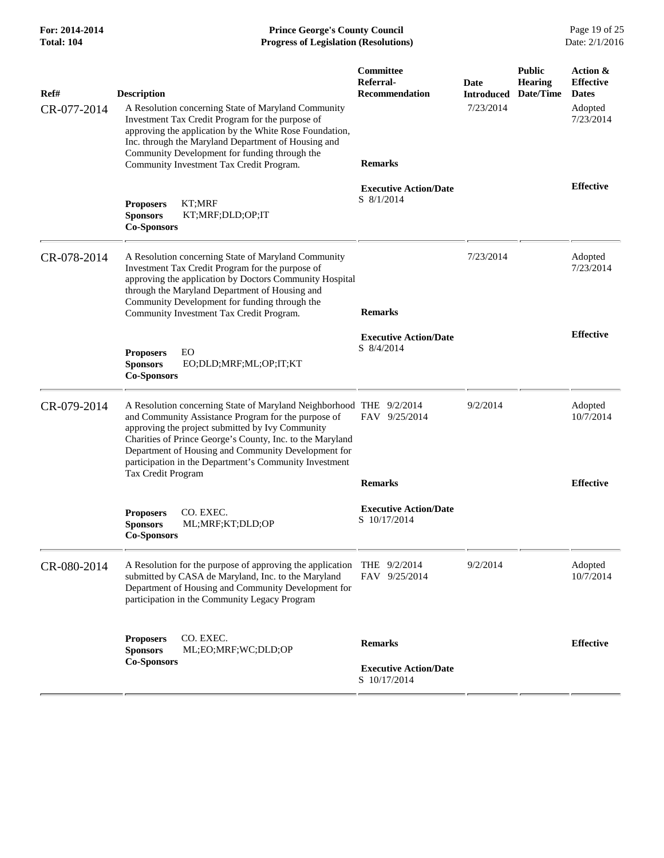**For: 2014-2014 Prince George's County Council** Page 19 of 25<br> **Prince George's County Council** Page 19 of 25<br> **Progress of Legislation (Resolutions)** Date: 2/1/2016 **Total: 104 Progress of Legislation (Resolutions)** 

| Ref#<br>CR-077-2014 | <b>Description</b><br>A Resolution concerning State of Maryland Community<br>Investment Tax Credit Program for the purpose of<br>approving the application by the White Rose Foundation,<br>Inc. through the Maryland Department of Housing and<br>Community Development for funding through the<br>Community Investment Tax Credit Program.                                       | Committee<br>Referral-<br>Recommendation<br><b>Remarks</b>     | Date<br><b>Introduced</b><br>7/23/2014 | <b>Public</b><br>Hearing<br>Date/Time | Action &<br><b>Effective</b><br><b>Dates</b><br>Adopted<br>7/23/2014 |
|---------------------|------------------------------------------------------------------------------------------------------------------------------------------------------------------------------------------------------------------------------------------------------------------------------------------------------------------------------------------------------------------------------------|----------------------------------------------------------------|----------------------------------------|---------------------------------------|----------------------------------------------------------------------|
|                     | KT;MRF<br><b>Proposers</b><br><b>Sponsors</b><br>KT;MRF;DLD;OP;IT<br><b>Co-Sponsors</b>                                                                                                                                                                                                                                                                                            | <b>Executive Action/Date</b><br>S 8/1/2014                     |                                        |                                       | <b>Effective</b>                                                     |
| CR-078-2014         | A Resolution concerning State of Maryland Community<br>Investment Tax Credit Program for the purpose of<br>approving the application by Doctors Community Hospital<br>through the Maryland Department of Housing and<br>Community Development for funding through the<br>Community Investment Tax Credit Program.                                                                  | <b>Remarks</b>                                                 | 7/23/2014                              |                                       | Adopted<br>7/23/2014                                                 |
|                     | EO<br><b>Proposers</b><br>EO;DLD;MRF;ML;OP;IT;KT<br><b>Sponsors</b><br><b>Co-Sponsors</b>                                                                                                                                                                                                                                                                                          | <b>Executive Action/Date</b><br>S 8/4/2014                     |                                        |                                       | <b>Effective</b>                                                     |
| CR-079-2014         | A Resolution concerning State of Maryland Neighborhood THE 9/2/2014<br>and Community Assistance Program for the purpose of<br>approving the project submitted by Ivy Community<br>Charities of Prince George's County, Inc. to the Maryland<br>Department of Housing and Community Development for<br>participation in the Department's Community Investment<br>Tax Credit Program | FAV 9/25/2014<br><b>Remarks</b>                                | 9/2/2014                               |                                       | Adopted<br>10/7/2014<br><b>Effective</b>                             |
|                     | <b>Proposers</b><br>CO. EXEC.<br><b>Sponsors</b><br>ML;MRF;KT;DLD;OP<br><b>Co-Sponsors</b>                                                                                                                                                                                                                                                                                         | <b>Executive Action/Date</b><br>S 10/17/2014                   |                                        |                                       |                                                                      |
| CR-080-2014         | A Resolution for the purpose of approving the application<br>submitted by CASA de Maryland, Inc. to the Maryland<br>Department of Housing and Community Development for<br>participation in the Community Legacy Program                                                                                                                                                           | THE $9/2/2014$<br>FAV 9/25/2014                                | 9/2/2014                               |                                       | Adopted<br>10/7/2014                                                 |
|                     | <b>Proposers</b><br>CO. EXEC.<br><b>Sponsors</b><br>ML;EO;MRF;WC;DLD;OP<br><b>Co-Sponsors</b>                                                                                                                                                                                                                                                                                      | <b>Remarks</b><br><b>Executive Action/Date</b><br>S 10/17/2014 |                                        |                                       | <b>Effective</b>                                                     |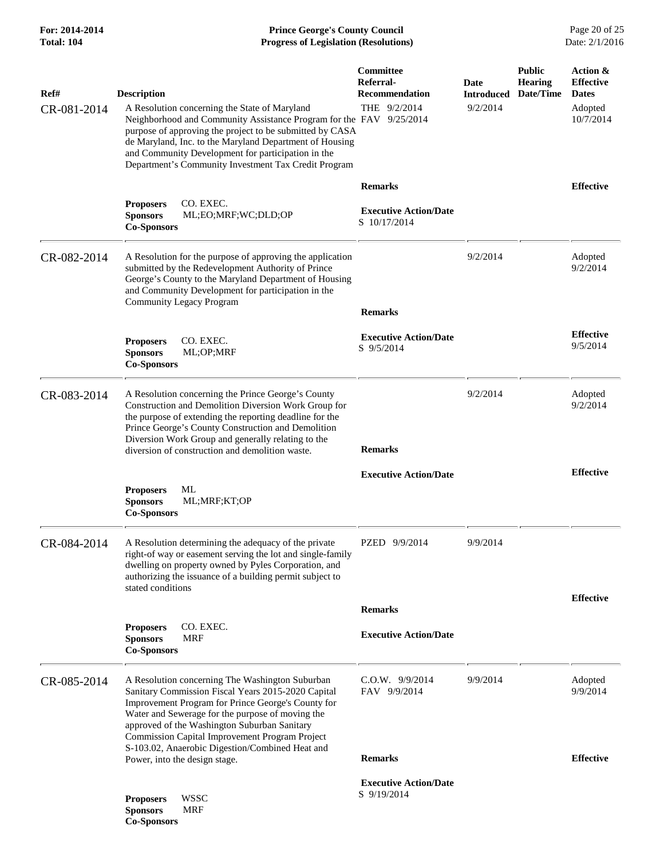## **For: 2014-2014 Prince George's County Council** Page 20 of 25<br>**Progress of Legislation (Resolutions)** Date: 2/1/2016 **Total: 104 Progress of Legislation (Resolutions)**

| Ref#        | <b>Description</b>                                                                                                                                                                                                                                                                                                                                                   | Committee<br>Referral-<br><b>Recommendation</b> | Date<br><b>Introduced</b> | <b>Public</b><br><b>Hearing</b><br>Date/Time | Action &<br><b>Effective</b><br><b>Dates</b> |
|-------------|----------------------------------------------------------------------------------------------------------------------------------------------------------------------------------------------------------------------------------------------------------------------------------------------------------------------------------------------------------------------|-------------------------------------------------|---------------------------|----------------------------------------------|----------------------------------------------|
| CR-081-2014 | A Resolution concerning the State of Maryland<br>Neighborhood and Community Assistance Program for the FAV 9/25/2014<br>purpose of approving the project to be submitted by CASA<br>de Maryland, Inc. to the Maryland Department of Housing<br>and Community Development for participation in the<br>Department's Community Investment Tax Credit Program            | THE 9/2/2014                                    | 9/2/2014                  |                                              | Adopted<br>10/7/2014                         |
|             |                                                                                                                                                                                                                                                                                                                                                                      | <b>Remarks</b>                                  |                           |                                              | <b>Effective</b>                             |
|             | CO. EXEC.<br><b>Proposers</b><br><b>Sponsors</b><br>ML;EO;MRF;WC;DLD;OP<br><b>Co-Sponsors</b>                                                                                                                                                                                                                                                                        | <b>Executive Action/Date</b><br>S 10/17/2014    |                           |                                              |                                              |
| CR-082-2014 | A Resolution for the purpose of approving the application<br>submitted by the Redevelopment Authority of Prince<br>George's County to the Maryland Department of Housing<br>and Community Development for participation in the<br><b>Community Legacy Program</b>                                                                                                    |                                                 | 9/2/2014                  |                                              | Adopted<br>9/2/2014                          |
|             |                                                                                                                                                                                                                                                                                                                                                                      | <b>Remarks</b>                                  |                           |                                              |                                              |
|             | CO. EXEC.<br><b>Proposers</b><br><b>Sponsors</b><br>ML;OP;MRF<br><b>Co-Sponsors</b>                                                                                                                                                                                                                                                                                  | <b>Executive Action/Date</b><br>S 9/5/2014      |                           |                                              | <b>Effective</b><br>9/5/2014                 |
| CR-083-2014 | A Resolution concerning the Prince George's County<br>Construction and Demolition Diversion Work Group for<br>the purpose of extending the reporting deadline for the<br>Prince George's County Construction and Demolition<br>Diversion Work Group and generally relating to the<br>diversion of construction and demolition waste.                                 | <b>Remarks</b>                                  | 9/2/2014                  |                                              | Adopted<br>9/2/2014                          |
|             |                                                                                                                                                                                                                                                                                                                                                                      | <b>Executive Action/Date</b>                    |                           |                                              | <b>Effective</b>                             |
|             | <b>Proposers</b><br>ML<br><b>Sponsors</b><br>ML;MRF;KT;OP<br><b>Co-Sponsors</b>                                                                                                                                                                                                                                                                                      |                                                 |                           |                                              |                                              |
| CR-084-2014 | A Resolution determining the adequacy of the private<br>right-of way or easement serving the lot and single-family<br>dwelling on property owned by Pyles Corporation, and<br>authorizing the issuance of a building permit subject to<br>stated conditions                                                                                                          | PZED 9/9/2014                                   | 9/9/2014                  |                                              |                                              |
|             |                                                                                                                                                                                                                                                                                                                                                                      | <b>Remarks</b>                                  |                           |                                              | <b>Effective</b>                             |
|             | CO. EXEC.<br><b>Proposers</b><br><b>MRF</b><br><b>Sponsors</b><br><b>Co-Sponsors</b>                                                                                                                                                                                                                                                                                 | <b>Executive Action/Date</b>                    |                           |                                              |                                              |
| CR-085-2014 | A Resolution concerning The Washington Suburban<br>Sanitary Commission Fiscal Years 2015-2020 Capital<br>Improvement Program for Prince George's County for<br>Water and Sewerage for the purpose of moving the<br>approved of the Washington Suburban Sanitary<br>Commission Capital Improvement Program Project<br>S-103.02, Anaerobic Digestion/Combined Heat and | $C.0.W.$ 9/9/2014<br>FAV 9/9/2014               | 9/9/2014                  |                                              | Adopted<br>9/9/2014                          |
|             | Power, into the design stage.                                                                                                                                                                                                                                                                                                                                        | <b>Remarks</b>                                  |                           |                                              | <b>Effective</b>                             |
|             | <b>WSSC</b><br><b>Proposers</b><br><b>Sponsors</b><br><b>MRF</b><br><b>Co-Sponsors</b>                                                                                                                                                                                                                                                                               | <b>Executive Action/Date</b><br>S 9/19/2014     |                           |                                              |                                              |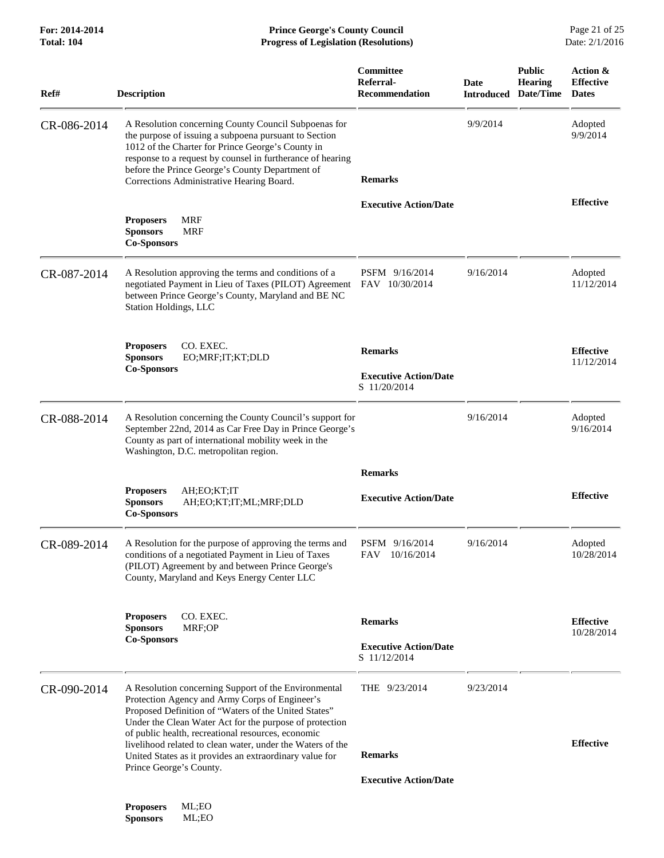| Ref#        | <b>Description</b>                                                                                                                                                                                                                                                                                                               | Committee<br>Referral-<br><b>Recommendation</b>                | Date      | <b>Public</b><br><b>Hearing</b><br><b>Introduced Date/Time</b> | Action &<br><b>Effective</b><br><b>Dates</b> |
|-------------|----------------------------------------------------------------------------------------------------------------------------------------------------------------------------------------------------------------------------------------------------------------------------------------------------------------------------------|----------------------------------------------------------------|-----------|----------------------------------------------------------------|----------------------------------------------|
| CR-086-2014 | A Resolution concerning County Council Subpoenas for<br>the purpose of issuing a subpoena pursuant to Section<br>1012 of the Charter for Prince George's County in<br>response to a request by counsel in furtherance of hearing<br>before the Prince George's County Department of<br>Corrections Administrative Hearing Board. | <b>Remarks</b>                                                 | 9/9/2014  |                                                                | Adopted<br>9/9/2014                          |
|             | <b>MRF</b><br><b>Proposers</b><br><b>Sponsors</b><br><b>MRF</b><br><b>Co-Sponsors</b>                                                                                                                                                                                                                                            | <b>Executive Action/Date</b>                                   |           |                                                                | <b>Effective</b>                             |
| CR-087-2014 | A Resolution approving the terms and conditions of a<br>negotiated Payment in Lieu of Taxes (PILOT) Agreement FAV 10/30/2014<br>between Prince George's County, Maryland and BE NC<br>Station Holdings, LLC                                                                                                                      | PSFM 9/16/2014                                                 | 9/16/2014 |                                                                | Adopted<br>11/12/2014                        |
|             | CO. EXEC.<br><b>Proposers</b><br><b>Sponsors</b><br>EO;MRF;IT;KT;DLD<br><b>Co-Sponsors</b>                                                                                                                                                                                                                                       | <b>Remarks</b><br><b>Executive Action/Date</b><br>S 11/20/2014 |           |                                                                | <b>Effective</b><br>11/12/2014               |
| CR-088-2014 | A Resolution concerning the County Council's support for<br>September 22nd, 2014 as Car Free Day in Prince George's<br>County as part of international mobility week in the<br>Washington, D.C. metropolitan region.                                                                                                             |                                                                | 9/16/2014 |                                                                | Adopted<br>9/16/2014                         |
|             | AH;EO;KT;IT<br><b>Proposers</b><br><b>Sponsors</b><br>AH;EO;KT;IT;ML;MRF;DLD<br><b>Co-Sponsors</b>                                                                                                                                                                                                                               | <b>Remarks</b><br><b>Executive Action/Date</b>                 |           |                                                                | <b>Effective</b>                             |
| CR-089-2014 | A Resolution for the purpose of approving the terms and<br>conditions of a negotiated Payment in Lieu of Taxes<br>(PILOT) Agreement by and between Prince George's<br>County, Maryland and Keys Energy Center LLC                                                                                                                | PSFM 9/16/2014<br>FAV 10/16/2014                               | 9/16/2014 |                                                                | Adopted<br>10/28/2014                        |
|             | CO. EXEC.<br><b>Proposers</b><br>MRF;OP<br><b>Sponsors</b><br><b>Co-Sponsors</b>                                                                                                                                                                                                                                                 | <b>Remarks</b><br><b>Executive Action/Date</b><br>S 11/12/2014 |           |                                                                | <b>Effective</b><br>10/28/2014               |
| CR-090-2014 | A Resolution concerning Support of the Environmental<br>Protection Agency and Army Corps of Engineer's<br>Proposed Definition of "Waters of the United States"<br>Under the Clean Water Act for the purpose of protection<br>of public health, recreational resources, economic                                                  | THE $9/23/2014$                                                | 9/23/2014 |                                                                |                                              |
|             | livelihood related to clean water, under the Waters of the<br>United States as it provides an extraordinary value for<br>Prince George's County.                                                                                                                                                                                 | <b>Remarks</b><br><b>Executive Action/Date</b>                 |           |                                                                | <b>Effective</b>                             |

**Proposers** ML;EO  $S**p**$ onsors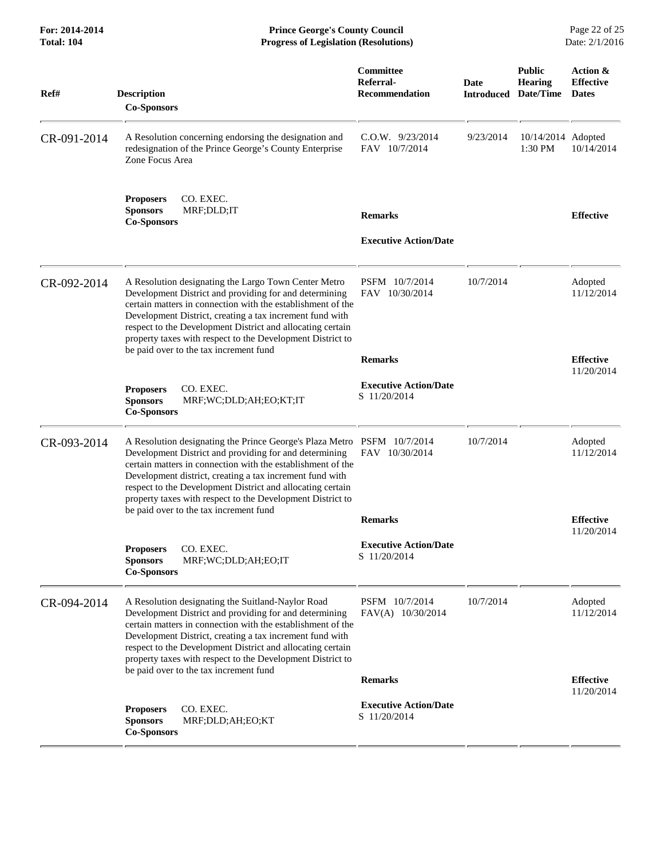**For: 2014-2014 Prince George's County Council** Page 22 of 25<br> **Prince George's County Council** Page 22 of 25<br> **Progress of Legislation (Resolutions)** Date: 2/1/2016 **Total: 104 Progress of Legislation (Resolutions)** 

| Ref#        | <b>Description</b><br><b>Co-Sponsors</b>                                                                                                                                                                                                                                                                                                                                                                                           | Committee<br>Referral-<br><b>Recommendation</b>    | Date<br><b>Introduced</b> | <b>Public</b><br><b>Hearing</b><br>Date/Time | Action &<br><b>Effective</b><br><b>Dates</b> |
|-------------|------------------------------------------------------------------------------------------------------------------------------------------------------------------------------------------------------------------------------------------------------------------------------------------------------------------------------------------------------------------------------------------------------------------------------------|----------------------------------------------------|---------------------------|----------------------------------------------|----------------------------------------------|
| CR-091-2014 | A Resolution concerning endorsing the designation and<br>redesignation of the Prince George's County Enterprise<br>Zone Focus Area                                                                                                                                                                                                                                                                                                 | $C.0.W.$ 9/23/2014<br>FAV 10/7/2014                | 9/23/2014                 | 10/14/2014 Adopted<br>1:30 PM                | 10/14/2014                                   |
|             | CO. EXEC.<br><b>Proposers</b><br><b>Sponsors</b><br>MRF;DLD;IT<br><b>Co-Sponsors</b>                                                                                                                                                                                                                                                                                                                                               | <b>Remarks</b><br><b>Executive Action/Date</b>     |                           |                                              | <b>Effective</b>                             |
| CR-092-2014 | A Resolution designating the Largo Town Center Metro<br>Development District and providing for and determining<br>certain matters in connection with the establishment of the<br>Development District, creating a tax increment fund with<br>respect to the Development District and allocating certain<br>property taxes with respect to the Development District to<br>be paid over to the tax increment fund                    | PSFM 10/7/2014<br>FAV 10/30/2014<br><b>Remarks</b> | 10/7/2014                 |                                              | Adopted<br>11/12/2014<br><b>Effective</b>    |
|             | CO. EXEC.<br><b>Proposers</b><br><b>Sponsors</b><br>MRF;WC;DLD;AH;EO;KT;IT<br><b>Co-Sponsors</b>                                                                                                                                                                                                                                                                                                                                   | <b>Executive Action/Date</b><br>S 11/20/2014       |                           |                                              | 11/20/2014                                   |
| CR-093-2014 | A Resolution designating the Prince George's Plaza Metro PSFM 10/7/2014<br>Development District and providing for and determining<br>certain matters in connection with the establishment of the<br>Development district, creating a tax increment fund with<br>respect to the Development District and allocating certain<br>property taxes with respect to the Development District to<br>be paid over to the tax increment fund | FAV 10/30/2014                                     | 10/7/2014                 |                                              | Adopted<br>11/12/2014                        |
|             |                                                                                                                                                                                                                                                                                                                                                                                                                                    | <b>Remarks</b>                                     |                           |                                              | <b>Effective</b><br>11/20/2014               |
|             | CO. EXEC.<br><b>Proposers</b><br><b>Sponsors</b><br>MRF;WC;DLD;AH;EO;IT<br><b>Co-Sponsors</b>                                                                                                                                                                                                                                                                                                                                      | <b>Executive Action/Date</b><br>S 11/20/2014       |                           |                                              |                                              |
| CR-094-2014 | A Resolution designating the Suitland-Naylor Road<br>Development District and providing for and determining<br>certain matters in connection with the establishment of the<br>Development District, creating a tax increment fund with<br>respect to the Development District and allocating certain<br>property taxes with respect to the Development District to<br>be paid over to the tax increment fund                       | PSFM 10/7/2014<br>FAV(A) 10/30/2014                | 10/7/2014                 |                                              | Adopted<br>11/12/2014                        |
|             |                                                                                                                                                                                                                                                                                                                                                                                                                                    | <b>Remarks</b>                                     |                           |                                              | <b>Effective</b><br>11/20/2014               |
|             | CO. EXEC.<br><b>Proposers</b><br><b>Sponsors</b><br>MRF;DLD;AH;EO;KT<br><b>Co-Sponsors</b>                                                                                                                                                                                                                                                                                                                                         | <b>Executive Action/Date</b><br>S 11/20/2014       |                           |                                              |                                              |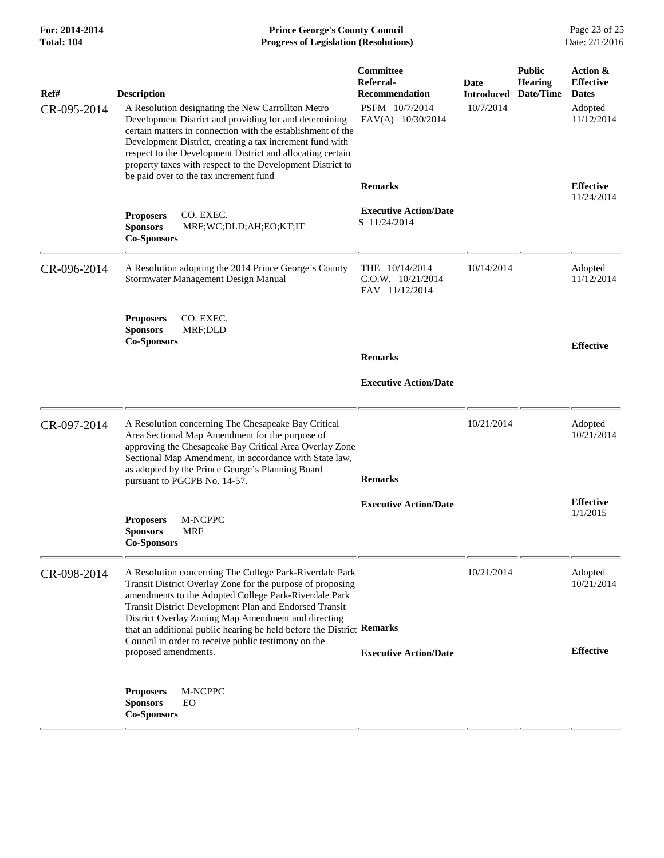**For: 2014-2014 Prince George's County Council** Page 23 of 25<br>**Progress of Legislation (Resolutions)** Date: 2/1/2016 **Total: 104 Progress of Legislation (Resolutions)** 

| Ref#<br>CR-095-2014 | <b>Description</b><br>A Resolution designating the New Carrollton Metro<br>Development District and providing for and determining<br>certain matters in connection with the establishment of the<br>Development District, creating a tax increment fund with<br>respect to the Development District and allocating certain<br>property taxes with respect to the Development District to<br>be paid over to the tax increment fund                      | Committee<br>Referral-<br><b>Recommendation</b><br>PSFM 10/7/2014<br>FAV(A) 10/30/2014 | Date<br><b>Introduced</b><br>10/7/2014 | <b>Public</b><br><b>Hearing</b><br>Date/Time | Action &<br><b>Effective</b><br><b>Dates</b><br>Adopted<br>11/12/2014 |
|---------------------|---------------------------------------------------------------------------------------------------------------------------------------------------------------------------------------------------------------------------------------------------------------------------------------------------------------------------------------------------------------------------------------------------------------------------------------------------------|----------------------------------------------------------------------------------------|----------------------------------------|----------------------------------------------|-----------------------------------------------------------------------|
|                     | <b>Proposers</b><br>CO. EXEC.<br><b>Sponsors</b><br>MRF;WC;DLD;AH;EO;KT;IT<br><b>Co-Sponsors</b>                                                                                                                                                                                                                                                                                                                                                        | <b>Remarks</b><br><b>Executive Action/Date</b><br>S 11/24/2014                         |                                        |                                              | <b>Effective</b><br>11/24/2014                                        |
| CR-096-2014         | A Resolution adopting the 2014 Prince George's County<br>Stormwater Management Design Manual                                                                                                                                                                                                                                                                                                                                                            | THE 10/14/2014<br>$C.0.W.$ $10/21/2014$<br>FAV 11/12/2014                              | 10/14/2014                             |                                              | Adopted<br>11/12/2014                                                 |
|                     | CO. EXEC.<br><b>Proposers</b><br><b>Sponsors</b><br>MRF;DLD<br><b>Co-Sponsors</b>                                                                                                                                                                                                                                                                                                                                                                       | <b>Remarks</b><br><b>Executive Action/Date</b>                                         |                                        |                                              | <b>Effective</b>                                                      |
| CR-097-2014         | A Resolution concerning The Chesapeake Bay Critical<br>Area Sectional Map Amendment for the purpose of<br>approving the Chesapeake Bay Critical Area Overlay Zone<br>Sectional Map Amendment, in accordance with State law,<br>as adopted by the Prince George's Planning Board<br>pursuant to PGCPB No. 14-57.                                                                                                                                         | <b>Remarks</b>                                                                         | 10/21/2014                             |                                              | Adopted<br>10/21/2014                                                 |
|                     | M-NCPPC<br><b>Proposers</b><br><b>MRF</b><br><b>Sponsors</b><br><b>Co-Sponsors</b>                                                                                                                                                                                                                                                                                                                                                                      | <b>Executive Action/Date</b>                                                           |                                        |                                              | <b>Effective</b><br>1/1/2015                                          |
| CR-098-2014         | A Resolution concerning The College Park-Riverdale Park<br>Transit District Overlay Zone for the purpose of proposing<br>amendments to the Adopted College Park-Riverdale Park<br>Transit District Development Plan and Endorsed Transit<br>District Overlay Zoning Map Amendment and directing<br>that an additional public hearing be held before the District Remarks<br>Council in order to receive public testimony on the<br>proposed amendments. | <b>Executive Action/Date</b>                                                           | 10/21/2014                             |                                              | Adopted<br>10/21/2014<br><b>Effective</b>                             |
|                     | M-NCPPC<br><b>Proposers</b><br><b>Sponsors</b><br>EO<br><b>Co-Sponsors</b>                                                                                                                                                                                                                                                                                                                                                                              |                                                                                        |                                        |                                              |                                                                       |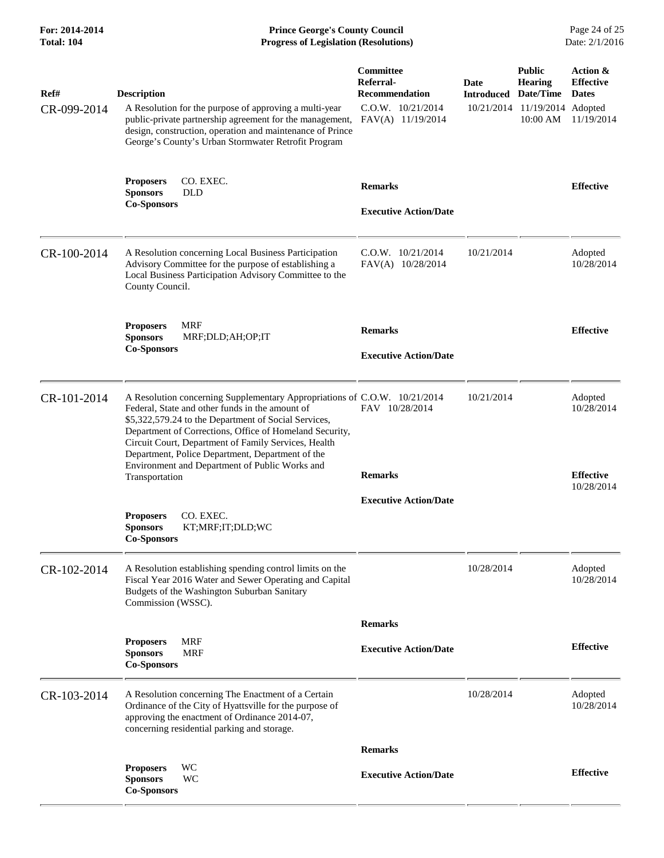**For: 2014-2014 Prince George's County Council** Page 24 of 25<br>**Progress of Legislation (Resolutions)** Date: 2/1/2016 **Total: 104 Progress of Legislation (Resolutions)** 

| Ref#<br>CR-099-2014 | <b>Description</b><br>A Resolution for the purpose of approving a multi-year<br>public-private partnership agreement for the management,                                                                                                                                                                                                                    | Committee<br>Referral-<br><b>Recommendation</b><br>$C.0.W.$ $10/21/2014$<br>FAV(A) 11/19/2014 | Date<br><b>Introduced</b><br>10/21/2014 | <b>Public</b><br><b>Hearing</b><br>Date/Time<br>11/19/2014<br>$10:00$ AM | Action &<br><b>Effective</b><br><b>Dates</b><br>Adopted<br>11/19/2014 |
|---------------------|-------------------------------------------------------------------------------------------------------------------------------------------------------------------------------------------------------------------------------------------------------------------------------------------------------------------------------------------------------------|-----------------------------------------------------------------------------------------------|-----------------------------------------|--------------------------------------------------------------------------|-----------------------------------------------------------------------|
|                     | design, construction, operation and maintenance of Prince<br>George's County's Urban Stormwater Retrofit Program                                                                                                                                                                                                                                            |                                                                                               |                                         |                                                                          |                                                                       |
|                     | CO. EXEC.<br><b>Proposers</b><br><b>Sponsors</b><br><b>DLD</b>                                                                                                                                                                                                                                                                                              | <b>Remarks</b>                                                                                |                                         |                                                                          | <b>Effective</b>                                                      |
|                     | <b>Co-Sponsors</b>                                                                                                                                                                                                                                                                                                                                          | <b>Executive Action/Date</b>                                                                  |                                         |                                                                          |                                                                       |
| CR-100-2014         | A Resolution concerning Local Business Participation<br>Advisory Committee for the purpose of establishing a<br>Local Business Participation Advisory Committee to the<br>County Council.                                                                                                                                                                   | $C.0.W.$ $10/21/2014$<br>FAV(A) 10/28/2014                                                    | 10/21/2014                              |                                                                          | Adopted<br>10/28/2014                                                 |
|                     | <b>MRF</b><br><b>Proposers</b><br>MRF;DLD;AH;OP;IT<br><b>Sponsors</b>                                                                                                                                                                                                                                                                                       | <b>Remarks</b>                                                                                |                                         |                                                                          | <b>Effective</b>                                                      |
|                     | <b>Co-Sponsors</b>                                                                                                                                                                                                                                                                                                                                          | <b>Executive Action/Date</b>                                                                  |                                         |                                                                          |                                                                       |
| CR-101-2014         | A Resolution concerning Supplementary Appropriations of C.O.W. 10/21/2014<br>Federal, State and other funds in the amount of<br>\$5,322,579.24 to the Department of Social Services,<br>Department of Corrections, Office of Homeland Security,<br>Circuit Court, Department of Family Services, Health<br>Department, Police Department, Department of the | FAV 10/28/2014                                                                                | 10/21/2014                              |                                                                          | Adopted<br>10/28/2014                                                 |
|                     | Environment and Department of Public Works and<br>Transportation                                                                                                                                                                                                                                                                                            | <b>Remarks</b>                                                                                |                                         |                                                                          | <b>Effective</b><br>10/28/2014                                        |
|                     | CO. EXEC.<br><b>Proposers</b><br><b>Sponsors</b><br>KT;MRF;IT;DLD;WC<br><b>Co-Sponsors</b>                                                                                                                                                                                                                                                                  | <b>Executive Action/Date</b>                                                                  |                                         |                                                                          |                                                                       |
| CR-102-2014         | A Resolution establishing spending control limits on the<br>Fiscal Year 2016 Water and Sewer Operating and Capital<br>Budgets of the Washington Suburban Sanitary<br>Commission (WSSC).                                                                                                                                                                     |                                                                                               | 10/28/2014                              |                                                                          | Adopted<br>10/28/2014                                                 |
|                     |                                                                                                                                                                                                                                                                                                                                                             | <b>Remarks</b>                                                                                |                                         |                                                                          |                                                                       |
|                     | <b>MRF</b><br><b>Proposers</b><br><b>Sponsors</b><br>MRF<br><b>Co-Sponsors</b>                                                                                                                                                                                                                                                                              | <b>Executive Action/Date</b>                                                                  |                                         |                                                                          | <b>Effective</b>                                                      |
| CR-103-2014         | A Resolution concerning The Enactment of a Certain<br>Ordinance of the City of Hyattsville for the purpose of<br>approving the enactment of Ordinance 2014-07,<br>concerning residential parking and storage.                                                                                                                                               |                                                                                               | 10/28/2014                              |                                                                          | Adopted<br>10/28/2014                                                 |
|                     |                                                                                                                                                                                                                                                                                                                                                             | <b>Remarks</b>                                                                                |                                         |                                                                          |                                                                       |
|                     | <b>Proposers</b><br>WC<br>WC<br><b>Sponsors</b><br><b>Co-Sponsors</b>                                                                                                                                                                                                                                                                                       | <b>Executive Action/Date</b>                                                                  |                                         |                                                                          | <b>Effective</b>                                                      |